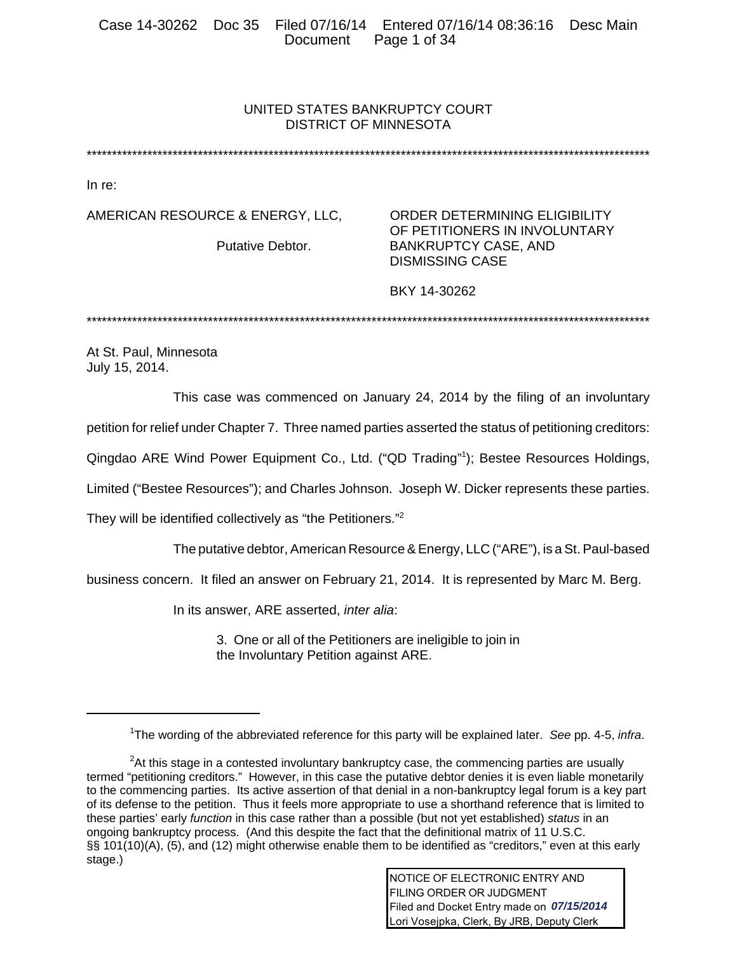# UNITED STATES BANKRUPTCY COURT DISTRICT OF MINNESOTA

\*\*\*\*\*\*\*\*\*\*\*\*\*\*\*\*\*\*\*\*\*\*\*\*\*\*\*\*\*\*\*\*\*\*\*\*\*\*\*\*\*\*\*\*\*\*\*\*\*\*\*\*\*\*\*\*\*\*\*\*\*\*\*\*\*\*\*\*\*\*\*\*\*\*\*\*\*\*\*\*\*\*\*\*\*\*\*\*\*\*\*\*\*\*\*\*\*\*\*\*\*\*\*\*\*\*\*\*\*\*\*

In re:

AMERICAN RESOURCE & ENERGY, LLC, ORDER DETERMINING ELIGIBILITY

OF PETITIONERS IN INVOLUNTARY Putative Debtor. BANKRUPTCY CASE, AND DISMISSING CASE

BKY 14-30262

\*\*\*\*\*\*\*\*\*\*\*\*\*\*\*\*\*\*\*\*\*\*\*\*\*\*\*\*\*\*\*\*\*\*\*\*\*\*\*\*\*\*\*\*\*\*\*\*\*\*\*\*\*\*\*\*\*\*\*\*\*\*\*\*\*\*\*\*\*\*\*\*\*\*\*\*\*\*\*\*\*\*\*\*\*\*\*\*\*\*\*\*\*\*\*\*\*\*\*\*\*\*\*\*\*\*\*\*\*\*\*

At St. Paul, Minnesota July 15, 2014.

This case was commenced on January 24, 2014 by the filing of an involuntary

petition for relief under Chapter 7. Three named parties asserted the status of petitioning creditors:

Qingdao ARE Wind Power Equipment Co., Ltd. ("QD Trading"1 ); Bestee Resources Holdings,

Limited ("Bestee Resources"); and Charles Johnson. Joseph W. Dicker represents these parties.

They will be identified collectively as "the Petitioners."2

The putative debtor, American Resource & Energy, LLC ("ARE"), is a St. Paul-based

business concern. It filed an answer on February 21, 2014. It is represented by Marc M. Berg.

In its answer, ARE asserted, *inter alia*:

3. One or all of the Petitioners are ineligible to join in the Involuntary Petition against ARE.

<sup>1</sup> The wording of the abbreviated reference for this party will be explained later. *See* pp. 4-5, *infra*.

 $2$ At this stage in a contested involuntary bankruptcy case, the commencing parties are usually termed "petitioning creditors." However, in this case the putative debtor denies it is even liable monetarily to the commencing parties. Its active assertion of that denial in a non-bankruptcy legal forum is a key part of its defense to the petition. Thus it feels more appropriate to use a shorthand reference that is limited to these parties' early *function* in this case rather than a possible (but not yet established) *status* in an ongoing bankruptcy process. (And this despite the fact that the definitional matrix of 11 U.S.C. §§ 101(10)(A), (5), and (12) might otherwise enable them to be identified as "creditors," even at this early stage.)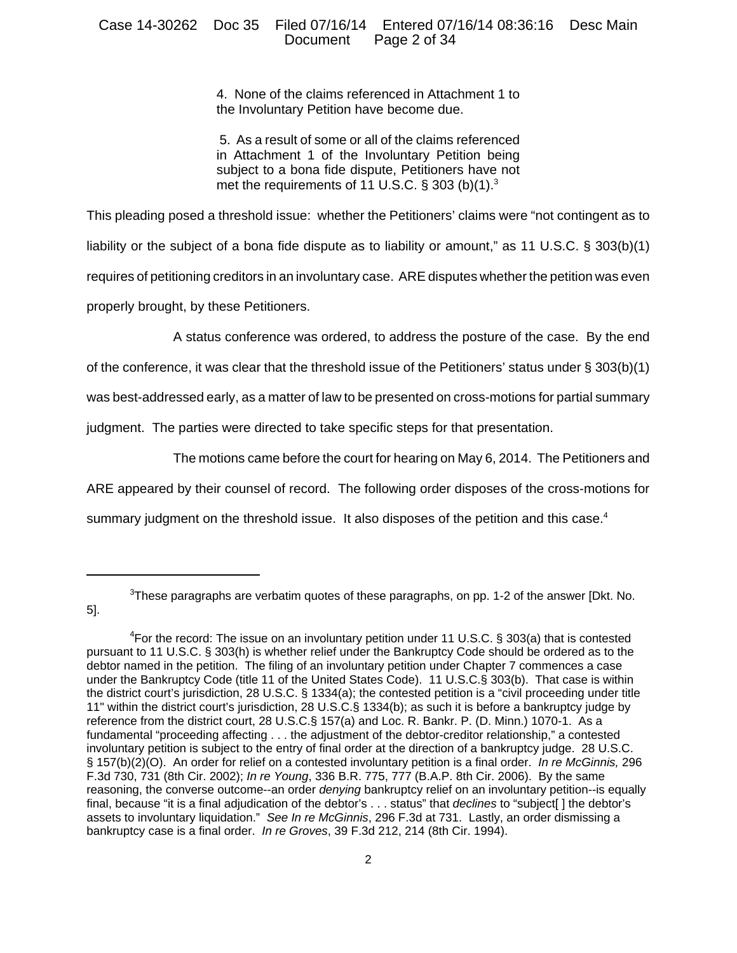## Case 14-30262 Doc 35 Filed 07/16/14 Entered 07/16/14 08:36:16 Desc Main Page 2 of 34

4. None of the claims referenced in Attachment 1 to the Involuntary Petition have become due.

 5. As a result of some or all of the claims referenced in Attachment 1 of the Involuntary Petition being subject to a bona fide dispute, Petitioners have not met the requirements of 11 U.S.C.  $\S$  303 (b)(1).<sup>3</sup>

This pleading posed a threshold issue: whether the Petitioners' claims were "not contingent as to liability or the subject of a bona fide dispute as to liability or amount," as 11 U.S.C. § 303(b)(1) requires of petitioning creditors in an involuntary case. ARE disputes whether the petition was even properly brought, by these Petitioners.

A status conference was ordered, to address the posture of the case. By the end

of the conference, it was clear that the threshold issue of the Petitioners' status under § 303(b)(1)

was best-addressed early, as a matter of law to be presented on cross-motions for partial summary

judgment. The parties were directed to take specific steps for that presentation.

5].

The motions came before the court for hearing on May 6, 2014. The Petitioners and

ARE appeared by their counsel of record. The following order disposes of the cross-motions for

summary judgment on the threshold issue. It also disposes of the petition and this case.<sup>4</sup>

 ${}^{3}$ These paragraphs are verbatim quotes of these paragraphs, on pp. 1-2 of the answer [Dkt. No.

 ${}^{4}$ For the record: The issue on an involuntary petition under 11 U.S.C. § 303(a) that is contested pursuant to 11 U.S.C. § 303(h) is whether relief under the Bankruptcy Code should be ordered as to the debtor named in the petition. The filing of an involuntary petition under Chapter 7 commences a case under the Bankruptcy Code (title 11 of the United States Code). 11 U.S.C.§ 303(b). That case is within the district court's jurisdiction, 28 U.S.C. § 1334(a); the contested petition is a "civil proceeding under title 11" within the district court's jurisdiction, 28 U.S.C.§ 1334(b); as such it is before a bankruptcy judge by reference from the district court, 28 U.S.C.§ 157(a) and Loc. R. Bankr. P. (D. Minn.) 1070-1. As a fundamental "proceeding affecting . . . the adjustment of the debtor-creditor relationship," a contested involuntary petition is subject to the entry of final order at the direction of a bankruptcy judge. 28 U.S.C. § 157(b)(2)(O). An order for relief on a contested involuntary petition is a final order. *In re McGinnis,* 296 F.3d 730, 731 (8th Cir. 2002); *In re Young*, 336 B.R. 775, 777 (B.A.P. 8th Cir. 2006). By the same reasoning, the converse outcome--an order *denying* bankruptcy relief on an involuntary petition--is equally final, because "it is a final adjudication of the debtor's . . . status" that *declines* to "subject[ ] the debtor's assets to involuntary liquidation." *See In re McGinnis*, 296 F.3d at 731. Lastly, an order dismissing a bankruptcy case is a final order. *In re Groves*, 39 F.3d 212, 214 (8th Cir. 1994).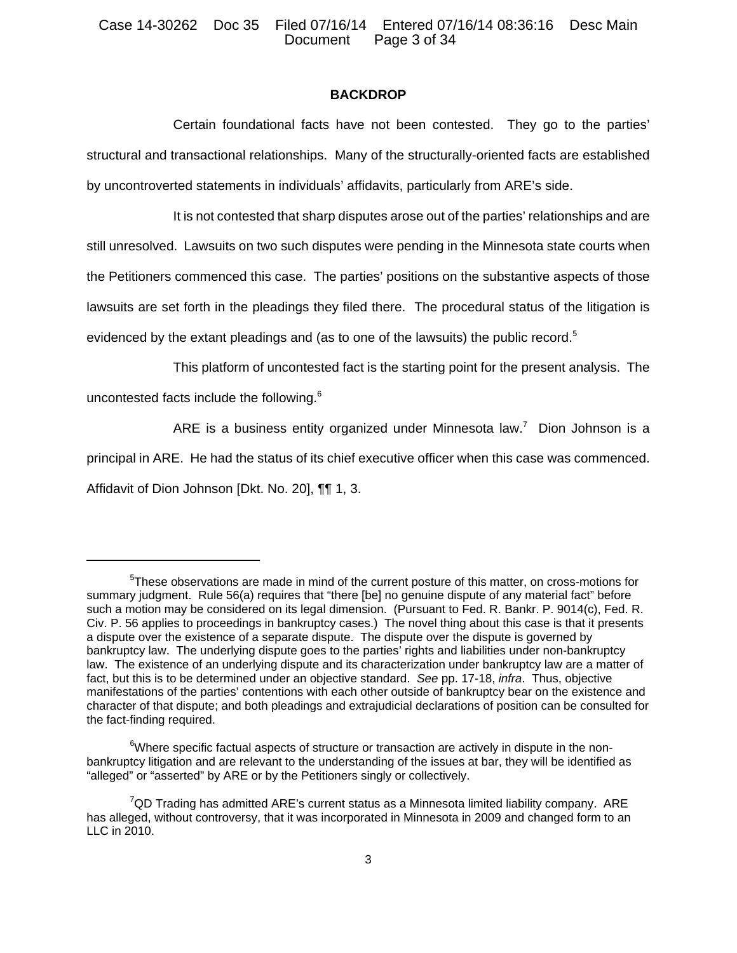## **BACKDROP**

Certain foundational facts have not been contested. They go to the parties' structural and transactional relationships. Many of the structurally-oriented facts are established by uncontroverted statements in individuals' affidavits, particularly from ARE's side.

It is not contested that sharp disputes arose out of the parties' relationships and are still unresolved. Lawsuits on two such disputes were pending in the Minnesota state courts when the Petitioners commenced this case. The parties' positions on the substantive aspects of those lawsuits are set forth in the pleadings they filed there. The procedural status of the litigation is evidenced by the extant pleadings and (as to one of the lawsuits) the public record.<sup>5</sup>

This platform of uncontested fact is the starting point for the present analysis. The

uncontested facts include the following.<sup>6</sup>

ARE is a business entity organized under Minnesota law.<sup>7</sup> Dion Johnson is a

principal in ARE. He had the status of its chief executive officer when this case was commenced.

Affidavit of Dion Johnson [Dkt. No. 20], ¶¶ 1, 3.

<sup>&</sup>lt;sup>5</sup>These observations are made in mind of the current posture of this matter, on cross-motions for summary judgment. Rule 56(a) requires that "there [be] no genuine dispute of any material fact" before such a motion may be considered on its legal dimension. (Pursuant to Fed. R. Bankr. P. 9014(c), Fed. R. Civ. P. 56 applies to proceedings in bankruptcy cases.) The novel thing about this case is that it presents a dispute over the existence of a separate dispute. The dispute over the dispute is governed by bankruptcy law. The underlying dispute goes to the parties' rights and liabilities under non-bankruptcy law. The existence of an underlying dispute and its characterization under bankruptcy law are a matter of fact, but this is to be determined under an objective standard. *See* pp. 17-18, *infra*. Thus, objective manifestations of the parties' contentions with each other outside of bankruptcy bear on the existence and character of that dispute; and both pleadings and extrajudicial declarations of position can be consulted for the fact-finding required.

 $6$ Where specific factual aspects of structure or transaction are actively in dispute in the nonbankruptcy litigation and are relevant to the understanding of the issues at bar, they will be identified as "alleged" or "asserted" by ARE or by the Petitioners singly or collectively.

 $7$ QD Trading has admitted ARE's current status as a Minnesota limited liability company. ARE has alleged, without controversy, that it was incorporated in Minnesota in 2009 and changed form to an LLC in 2010.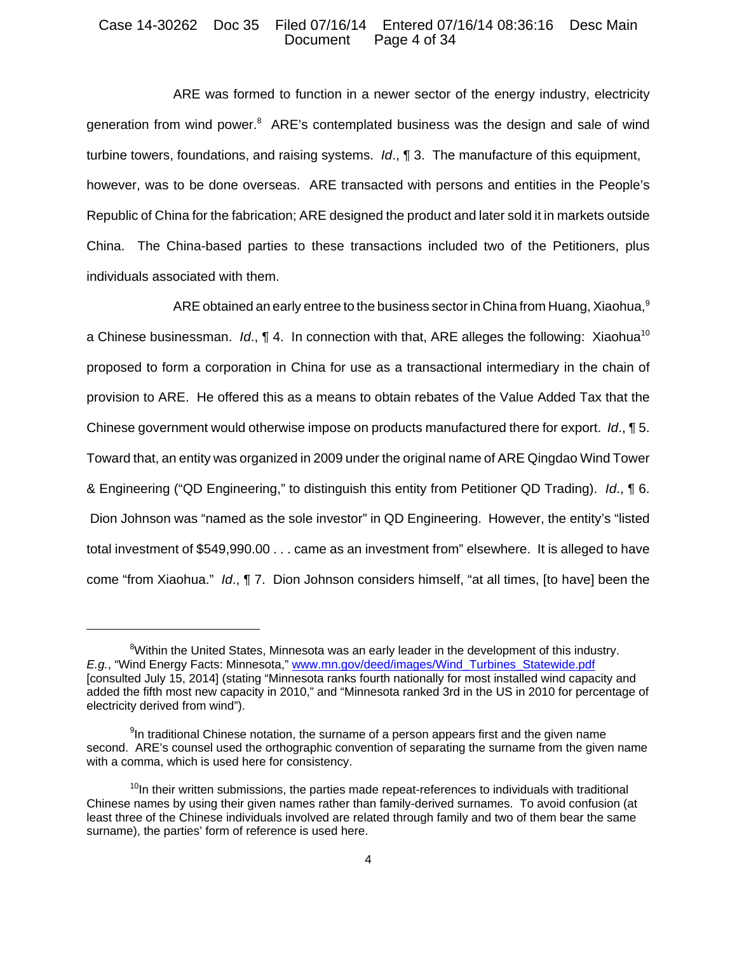#### Case 14-30262 Doc 35 Filed 07/16/14 Entered 07/16/14 08:36:16 Desc Main Page 4 of 34

ARE was formed to function in a newer sector of the energy industry, electricity generation from wind power.<sup>8</sup> ARE's contemplated business was the design and sale of wind turbine towers, foundations, and raising systems. *Id*., ¶ 3. The manufacture of this equipment, however, was to be done overseas. ARE transacted with persons and entities in the People's Republic of China for the fabrication; ARE designed the product and later sold it in markets outside China. The China-based parties to these transactions included two of the Petitioners, plus individuals associated with them.

ARE obtained an early entree to the business sector in China from Huang, Xiaohua,<sup>9</sup> a Chinese businessman. *Id.*, 14. In connection with that, ARE alleges the following: Xiaohua<sup>10</sup> proposed to form a corporation in China for use as a transactional intermediary in the chain of provision to ARE. He offered this as a means to obtain rebates of the Value Added Tax that the Chinese government would otherwise impose on products manufactured there for export. *Id*., ¶ 5. Toward that, an entity was organized in 2009 under the original name of ARE Qingdao Wind Tower & Engineering ("QD Engineering," to distinguish this entity from Petitioner QD Trading). *Id*., ¶ 6. Dion Johnson was "named as the sole investor" in QD Engineering. However, the entity's "listed total investment of \$549,990.00 . . . came as an investment from" elsewhere. It is alleged to have come "from Xiaohua." *Id*., ¶ 7. Dion Johnson considers himself, "at all times, [to have] been the

<sup>&</sup>lt;sup>8</sup>Within the United States, Minnesota was an early leader in the development of this industry. *E.g.*, "Wind Energy Facts: Minnesota," www.mn.gov/deed/images/Wind\_Turbines\_Statewide.pdf [consulted July 15, 2014] (stating "Minnesota ranks fourth nationally for most installed wind capacity and added the fifth most new capacity in 2010," and "Minnesota ranked 3rd in the US in 2010 for percentage of electricity derived from wind").

<sup>&</sup>lt;sup>9</sup>In traditional Chinese notation, the surname of a person appears first and the given name second. ARE's counsel used the orthographic convention of separating the surname from the given name with a comma, which is used here for consistency.

 $10$ In their written submissions, the parties made repeat-references to individuals with traditional Chinese names by using their given names rather than family-derived surnames. To avoid confusion (at least three of the Chinese individuals involved are related through family and two of them bear the same surname), the parties' form of reference is used here.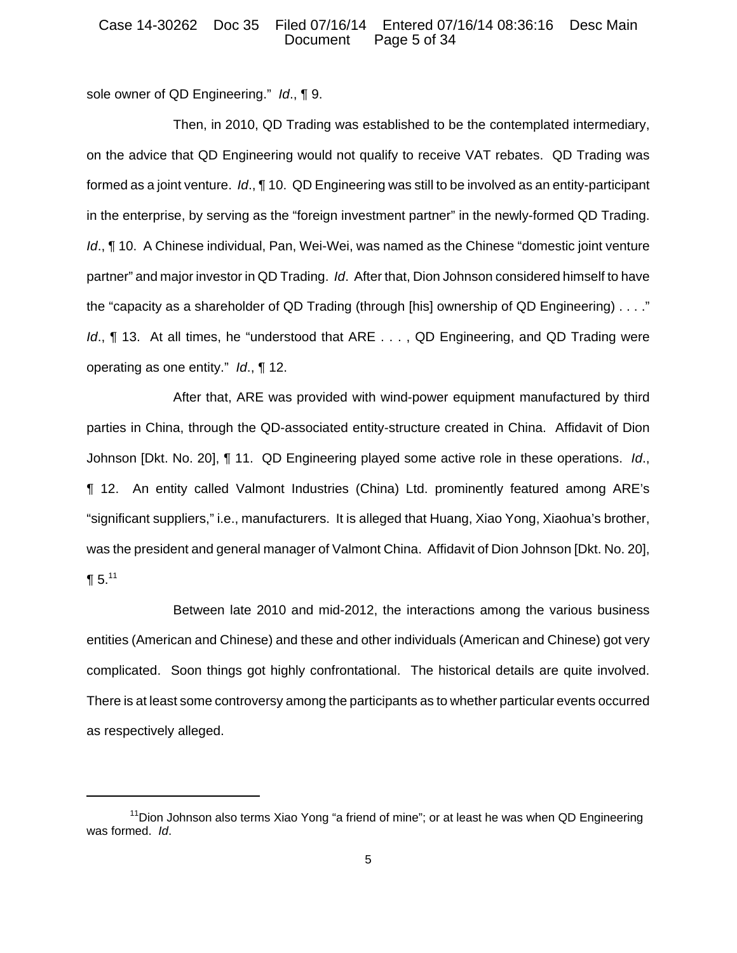### Case 14-30262 Doc 35 Filed 07/16/14 Entered 07/16/14 08:36:16 Desc Main Page 5 of 34

sole owner of QD Engineering." *Id*., ¶ 9.

Then, in 2010, QD Trading was established to be the contemplated intermediary, on the advice that QD Engineering would not qualify to receive VAT rebates. QD Trading was formed as a joint venture. *Id*., ¶ 10. QD Engineering was still to be involved as an entity-participant in the enterprise, by serving as the "foreign investment partner" in the newly-formed QD Trading. *Id.*, **¶** 10. A Chinese individual, Pan, Wei-Wei, was named as the Chinese "domestic joint venture partner" and major investor in QD Trading. *Id*. After that, Dion Johnson considered himself to have the "capacity as a shareholder of QD Trading (through [his] ownership of QD Engineering) . . . ." *Id.*, ¶ 13. At all times, he "understood that ARE . . . , QD Engineering, and QD Trading were operating as one entity." *Id*., ¶ 12.

After that, ARE was provided with wind-power equipment manufactured by third parties in China, through the QD-associated entity-structure created in China. Affidavit of Dion Johnson [Dkt. No. 20], ¶ 11. QD Engineering played some active role in these operations. *Id*., ¶ 12. An entity called Valmont Industries (China) Ltd. prominently featured among ARE's "significant suppliers," i.e., manufacturers. It is alleged that Huang, Xiao Yong, Xiaohua's brother, was the president and general manager of Valmont China. Affidavit of Dion Johnson [Dkt. No. 20],  $\P 5.11$ 

Between late 2010 and mid-2012, the interactions among the various business entities (American and Chinese) and these and other individuals (American and Chinese) got very complicated. Soon things got highly confrontational. The historical details are quite involved. There is at least some controversy among the participants as to whether particular events occurred as respectively alleged.

<sup>&</sup>lt;sup>11</sup>Dion Johnson also terms Xiao Yong "a friend of mine"; or at least he was when QD Engineering was formed. *Id*.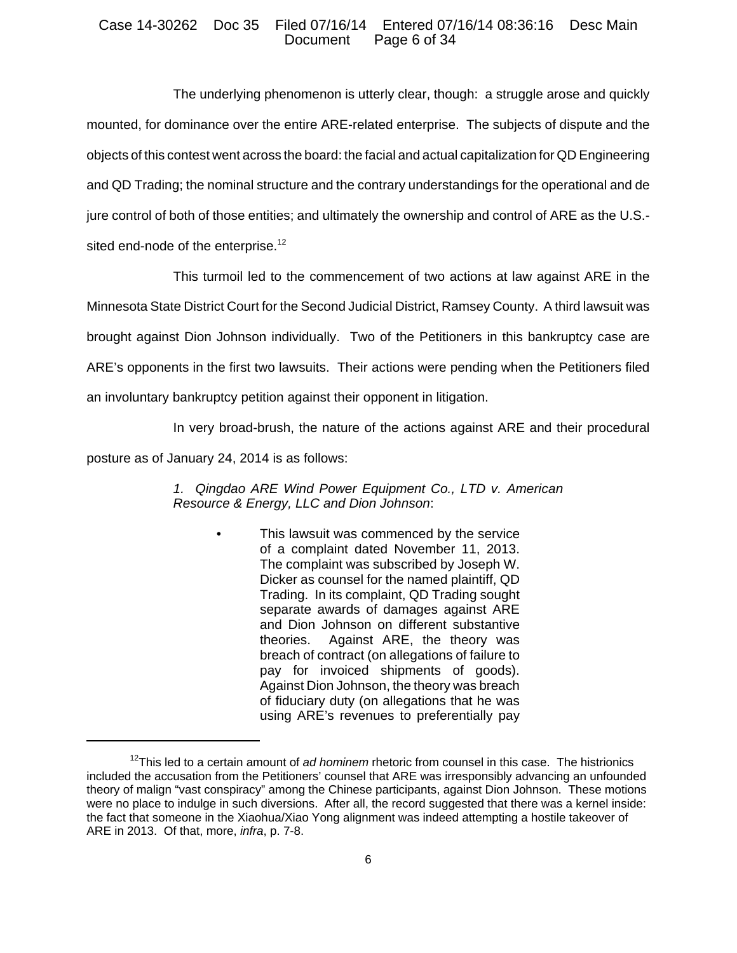### Case 14-30262 Doc 35 Filed 07/16/14 Entered 07/16/14 08:36:16 Desc Main Page 6 of 34

The underlying phenomenon is utterly clear, though: a struggle arose and quickly mounted, for dominance over the entire ARE-related enterprise. The subjects of dispute and the objects of this contest went across the board: the facial and actual capitalization for QD Engineering and QD Trading; the nominal structure and the contrary understandings for the operational and de jure control of both of those entities; and ultimately the ownership and control of ARE as the U.S. sited end-node of the enterprise.<sup>12</sup>

This turmoil led to the commencement of two actions at law against ARE in the Minnesota State District Court for the Second Judicial District, Ramsey County. A third lawsuit was brought against Dion Johnson individually. Two of the Petitioners in this bankruptcy case are ARE's opponents in the first two lawsuits. Their actions were pending when the Petitioners filed

an involuntary bankruptcy petition against their opponent in litigation.

In very broad-brush, the nature of the actions against ARE and their procedural

posture as of January 24, 2014 is as follows:

*1. Qingdao ARE Wind Power Equipment Co., LTD v. American Resource & Energy, LLC and Dion Johnson*:

> This lawsuit was commenced by the service of a complaint dated November 11, 2013. The complaint was subscribed by Joseph W. Dicker as counsel for the named plaintiff, QD Trading. In its complaint, QD Trading sought separate awards of damages against ARE and Dion Johnson on different substantive theories. Against ARE, the theory was breach of contract (on allegations of failure to pay for invoiced shipments of goods). Against Dion Johnson, the theory was breach of fiduciary duty (on allegations that he was using ARE's revenues to preferentially pay

<sup>12</sup>This led to a certain amount of *ad hominem* rhetoric from counsel in this case. The histrionics included the accusation from the Petitioners' counsel that ARE was irresponsibly advancing an unfounded theory of malign "vast conspiracy" among the Chinese participants, against Dion Johnson. These motions were no place to indulge in such diversions. After all, the record suggested that there was a kernel inside: the fact that someone in the Xiaohua/Xiao Yong alignment was indeed attempting a hostile takeover of ARE in 2013. Of that, more, *infra*, p. 7-8.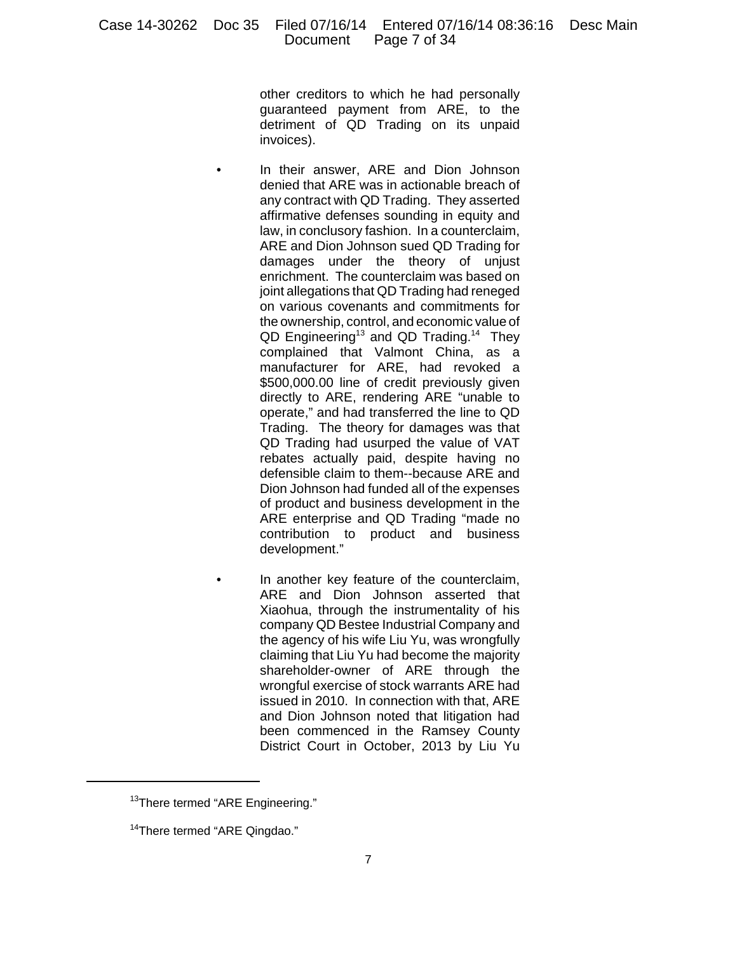other creditors to which he had personally guaranteed payment from ARE, to the detriment of QD Trading on its unpaid invoices).

- In their answer, ARE and Dion Johnson denied that ARE was in actionable breach of any contract with QD Trading. They asserted affirmative defenses sounding in equity and law, in conclusory fashion. In a counterclaim, ARE and Dion Johnson sued QD Trading for damages under the theory of unjust enrichment. The counterclaim was based on joint allegations that QD Trading had reneged on various covenants and commitments for the ownership, control, and economic value of QD Engineering<sup>13</sup> and QD Trading.<sup>14</sup> They complained that Valmont China, as a manufacturer for ARE, had revoked a \$500,000.00 line of credit previously given directly to ARE, rendering ARE "unable to operate," and had transferred the line to QD Trading. The theory for damages was that QD Trading had usurped the value of VAT rebates actually paid, despite having no defensible claim to them--because ARE and Dion Johnson had funded all of the expenses of product and business development in the ARE enterprise and QD Trading "made no contribution to product and business development."
- In another key feature of the counterclaim, ARE and Dion Johnson asserted that Xiaohua, through the instrumentality of his company QD Bestee Industrial Company and the agency of his wife Liu Yu, was wrongfully claiming that Liu Yu had become the majority shareholder-owner of ARE through the wrongful exercise of stock warrants ARE had issued in 2010. In connection with that, ARE and Dion Johnson noted that litigation had been commenced in the Ramsey County District Court in October, 2013 by Liu Yu

<sup>&</sup>lt;sup>13</sup>There termed "ARE Engineering."

<sup>&</sup>lt;sup>14</sup>There termed "ARE Qingdao."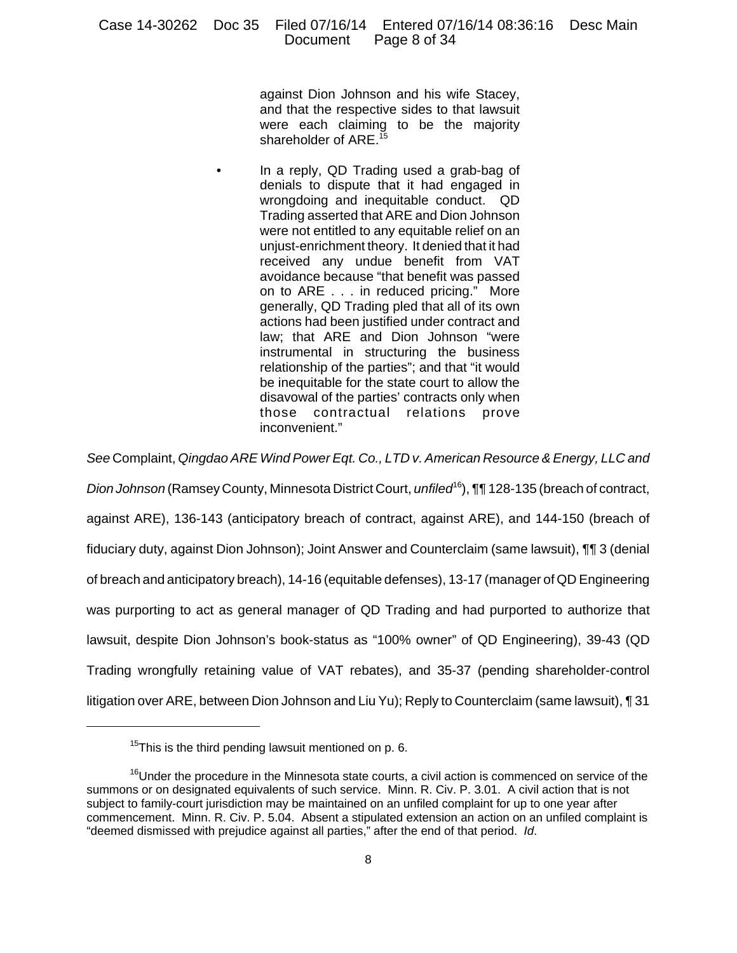against Dion Johnson and his wife Stacey, and that the respective sides to that lawsuit were each claiming to be the majority shareholder of ARE.<sup>15</sup>

• In a reply, QD Trading used a grab-bag of denials to dispute that it had engaged in wrongdoing and inequitable conduct. QD Trading asserted that ARE and Dion Johnson were not entitled to any equitable relief on an unjust-enrichment theory. It denied that it had received any undue benefit from VAT avoidance because "that benefit was passed on to ARE . . . in reduced pricing." More generally, QD Trading pled that all of its own actions had been justified under contract and law; that ARE and Dion Johnson "were instrumental in structuring the business relationship of the parties"; and that "it would be inequitable for the state court to allow the disavowal of the parties' contracts only when those contractual relations prove inconvenient."

*See* Complaint, *Qingdao ARE Wind Power Eqt. Co., LTD v. American Resource & Energy, LLC and Dion Johnson* (Ramsey County, Minnesota District Court, *unfiled*16), ¶¶ 128-135 (breach of contract, against ARE), 136-143 (anticipatory breach of contract, against ARE), and 144-150 (breach of fiduciary duty, against Dion Johnson); Joint Answer and Counterclaim (same lawsuit), ¶¶ 3 (denial of breach and anticipatory breach), 14-16 (equitable defenses), 13-17 (manager of QD Engineering was purporting to act as general manager of QD Trading and had purported to authorize that lawsuit, despite Dion Johnson's book-status as "100% owner" of QD Engineering), 39-43 (QD Trading wrongfully retaining value of VAT rebates), and 35-37 (pending shareholder-control litigation over ARE, between Dion Johnson and Liu Yu); Reply to Counterclaim (same lawsuit), ¶ 31

 $15$ This is the third pending lawsuit mentioned on p. 6.

<sup>&</sup>lt;sup>16</sup>Under the procedure in the Minnesota state courts, a civil action is commenced on service of the summons or on designated equivalents of such service. Minn. R. Civ. P. 3.01. A civil action that is not subject to family-court jurisdiction may be maintained on an unfiled complaint for up to one year after commencement. Minn. R. Civ. P. 5.04. Absent a stipulated extension an action on an unfiled complaint is "deemed dismissed with prejudice against all parties," after the end of that period. *Id*.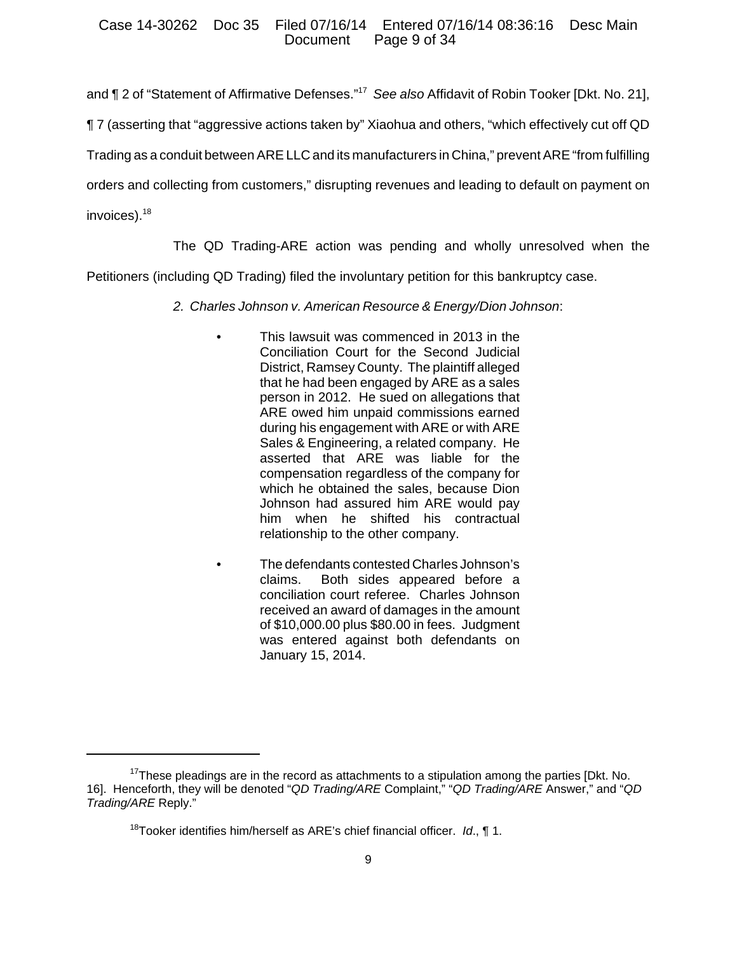and ¶ 2 of "Statement of Affirmative Defenses."17 *See also* Affidavit of Robin Tooker [Dkt. No. 21],

¶ 7 (asserting that "aggressive actions taken by" Xiaohua and others, "which effectively cut off QD

Trading as a conduit between ARE LLC and its manufacturers in China," prevent ARE "from fulfilling

orders and collecting from customers," disrupting revenues and leading to default on payment on

invoices).18

The QD Trading-ARE action was pending and wholly unresolved when the Petitioners (including QD Trading) filed the involuntary petition for this bankruptcy case.

- *2. Charles Johnson v. American Resource & Energy/Dion Johnson*:
	- This lawsuit was commenced in 2013 in the Conciliation Court for the Second Judicial District, Ramsey County. The plaintiff alleged that he had been engaged by ARE as a sales person in 2012. He sued on allegations that ARE owed him unpaid commissions earned during his engagement with ARE or with ARE Sales & Engineering, a related company. He asserted that ARE was liable for the compensation regardless of the company for which he obtained the sales, because Dion Johnson had assured him ARE would pay him when he shifted his contractual relationship to the other company.
		- The defendants contested Charles Johnson's claims. Both sides appeared before a conciliation court referee. Charles Johnson received an award of damages in the amount of \$10,000.00 plus \$80.00 in fees. Judgment was entered against both defendants on January 15, 2014.

 $17$ These pleadings are in the record as attachments to a stipulation among the parties [Dkt. No. 16]. Henceforth, they will be denoted "*QD Trading/ARE* Complaint," "*QD Trading/ARE* Answer," and "*QD Trading/ARE* Reply."

<sup>18</sup>Tooker identifies him/herself as ARE's chief financial officer. *Id*., ¶ 1.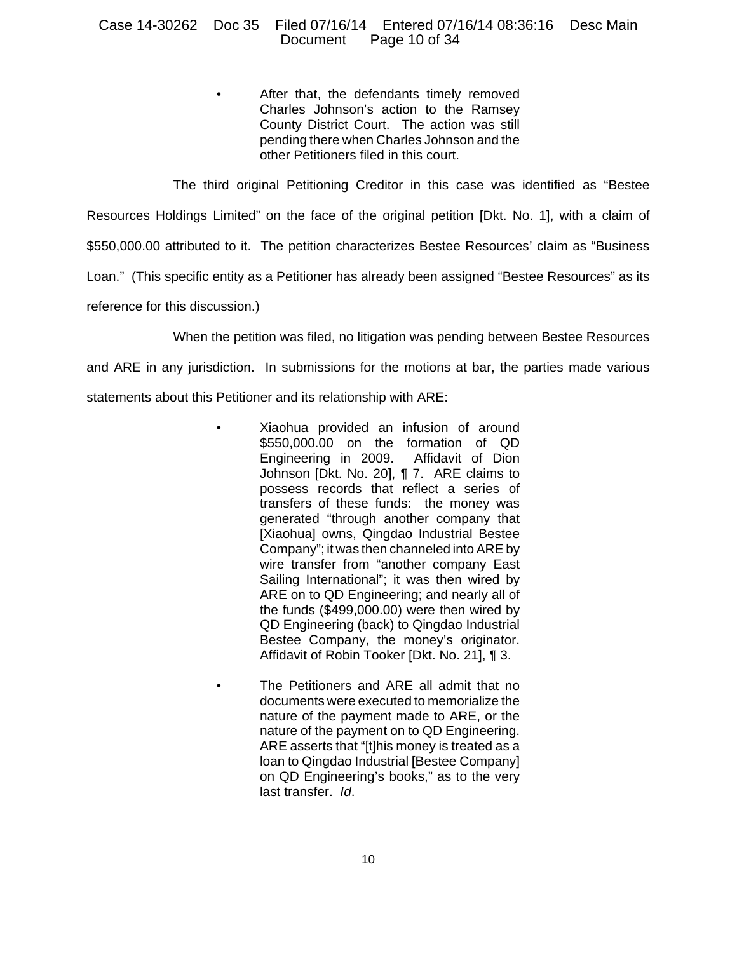## Case 14-30262 Doc 35 Filed 07/16/14 Entered 07/16/14 08:36:16 Desc Main Page 10 of  $34$

After that, the defendants timely removed Charles Johnson's action to the Ramsey County District Court. The action was still pending there when Charles Johnson and the other Petitioners filed in this court.

The third original Petitioning Creditor in this case was identified as "Bestee Resources Holdings Limited" on the face of the original petition [Dkt. No. 1], with a claim of \$550,000.00 attributed to it. The petition characterizes Bestee Resources' claim as "Business Loan." (This specific entity as a Petitioner has already been assigned "Bestee Resources" as its reference for this discussion.)

When the petition was filed, no litigation was pending between Bestee Resources

and ARE in any jurisdiction. In submissions for the motions at bar, the parties made various statements about this Petitioner and its relationship with ARE:

- Xiaohua provided an infusion of around \$550,000.00 on the formation of QD Engineering in 2009. Affidavit of Dion Johnson [Dkt. No. 20], ¶ 7. ARE claims to possess records that reflect a series of transfers of these funds: the money was generated "through another company that [Xiaohua] owns, Qingdao Industrial Bestee Company"; it was then channeled into ARE by wire transfer from "another company East Sailing International"; it was then wired by ARE on to QD Engineering; and nearly all of the funds (\$499,000.00) were then wired by QD Engineering (back) to Qingdao Industrial Bestee Company, the money's originator. Affidavit of Robin Tooker [Dkt. No. 21], ¶ 3.
	- The Petitioners and ARE all admit that no documents were executed to memorialize the nature of the payment made to ARE, or the nature of the payment on to QD Engineering. ARE asserts that "[t]his money is treated as a loan to Qingdao Industrial [Bestee Company] on QD Engineering's books," as to the very last transfer. *Id*.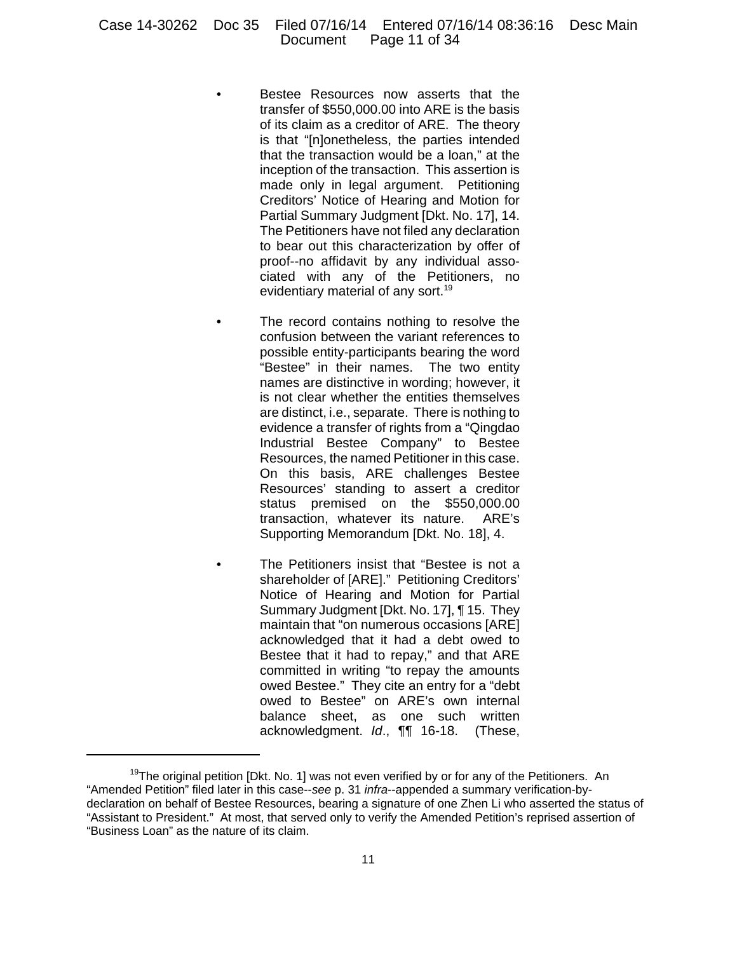## Case 14-30262 Doc 35 Filed 07/16/14 Entered 07/16/14 08:36:16 Desc Main Document

- Bestee Resources now asserts that the transfer of \$550,000.00 into ARE is the basis of its claim as a creditor of ARE. The theory is that "[n]onetheless, the parties intended that the transaction would be a loan," at the inception of the transaction. This assertion is made only in legal argument. Petitioning Creditors' Notice of Hearing and Motion for Partial Summary Judgment [Dkt. No. 17], 14. The Petitioners have not filed any declaration to bear out this characterization by offer of proof--no affidavit by any individual associated with any of the Petitioners, no evidentiary material of any sort.<sup>19</sup>
- The record contains nothing to resolve the confusion between the variant references to possible entity-participants bearing the word "Bestee" in their names. The two entity names are distinctive in wording; however, it is not clear whether the entities themselves are distinct, i.e., separate. There is nothing to evidence a transfer of rights from a "Qingdao Industrial Bestee Company" to Bestee Resources, the named Petitioner in this case. On this basis, ARE challenges Bestee Resources' standing to assert a creditor status premised on the \$550,000.00 transaction, whatever its nature. ARE's Supporting Memorandum [Dkt. No. 18], 4.
- The Petitioners insist that "Bestee is not a shareholder of [ARE]." Petitioning Creditors' Notice of Hearing and Motion for Partial Summary Judgment [Dkt. No. 17], ¶ 15. They maintain that "on numerous occasions [ARE] acknowledged that it had a debt owed to Bestee that it had to repay," and that ARE committed in writing "to repay the amounts owed Bestee." They cite an entry for a "debt owed to Bestee" on ARE's own internal balance sheet, as one such written acknowledgment. *Id*., ¶¶ 16-18. (These,

 $19$ The original petition [Dkt. No. 1] was not even verified by or for any of the Petitioners. An "Amended Petition" filed later in this case--*see* p. 31 *infra*--appended a summary verification-bydeclaration on behalf of Bestee Resources, bearing a signature of one Zhen Li who asserted the status of "Assistant to President." At most, that served only to verify the Amended Petition's reprised assertion of "Business Loan" as the nature of its claim.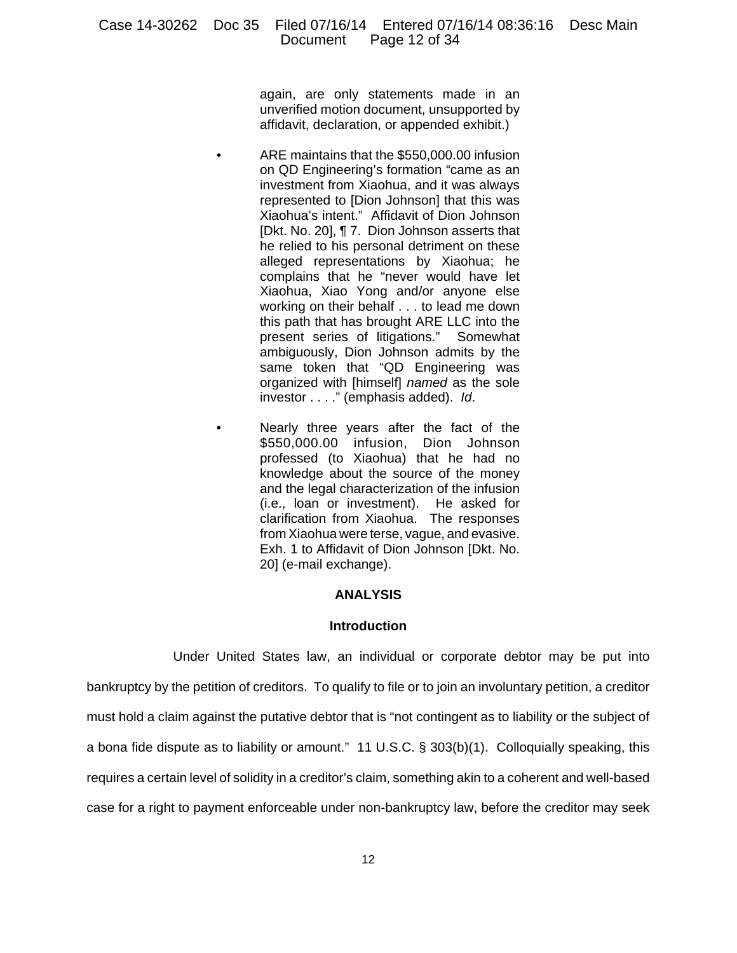again, are only statements made in an unverified motion document, unsupported by affidavit, declaration, or appended exhibit.)

- ARE maintains that the \$550,000.00 infusion on QD Engineering's formation "came as an investment from Xiaohua, and it was always represented to [Dion Johnson] that this was Xiaohua's intent." Affidavit of Dion Johnson [Dkt. No. 20], ¶ 7. Dion Johnson asserts that he relied to his personal detriment on these alleged representations by Xiaohua; he complains that he "never would have let Xiaohua, Xiao Yong and/or anyone else working on their behalf . . . to lead me down this path that has brought ARE LLC into the present series of litigations." Somewhat ambiguously, Dion Johnson admits by the same token that "QD Engineering was organized with [himself] *named* as the sole investor . . . ." (emphasis added). *Id*.
- Nearly three years after the fact of the \$550,000.00 infusion, Dion Johnson professed (to Xiaohua) that he had no knowledge about the source of the money and the legal characterization of the infusion (i.e., loan or investment). He asked for clarification from Xiaohua. The responses from Xiaohua were terse, vague, and evasive. Exh. 1 to Affidavit of Dion Johnson [Dkt. No. 20] (e-mail exchange).

## **ANALYSIS**

#### **Introduction**

Under United States law, an individual or corporate debtor may be put into bankruptcy by the petition of creditors. To qualify to file or to join an involuntary petition, a creditor must hold a claim against the putative debtor that is "not contingent as to liability or the subject of a bona fide dispute as to liability or amount." 11 U.S.C. § 303(b)(1). Colloquially speaking, this requires a certain level of solidity in a creditor's claim, something akin to a coherent and well-based case for a right to payment enforceable under non-bankruptcy law, before the creditor may seek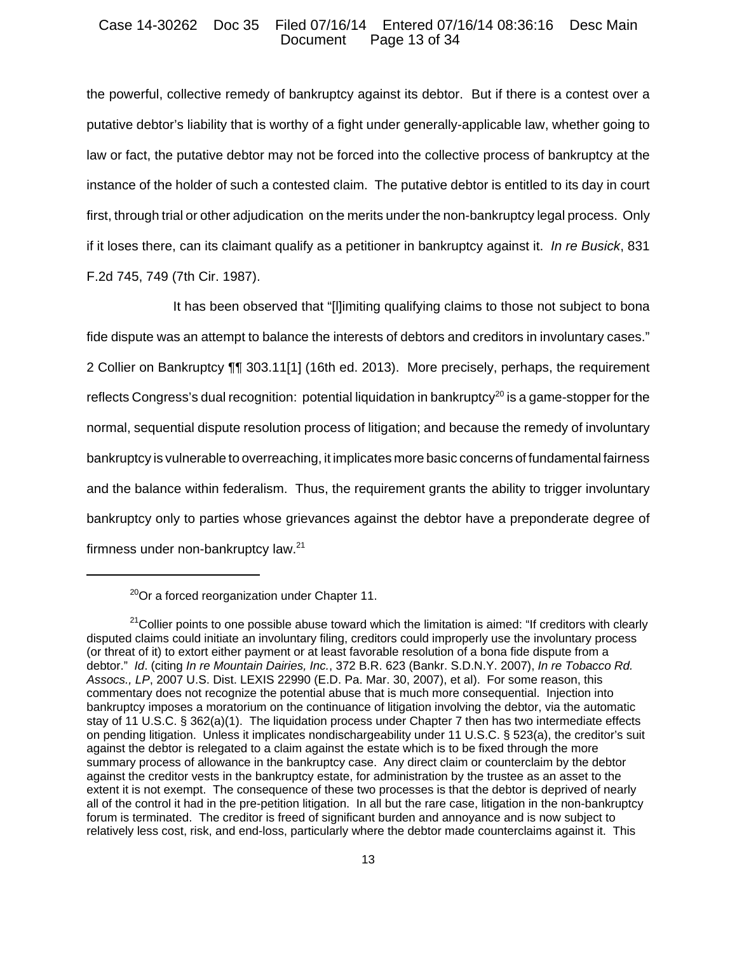#### Case 14-30262 Doc 35 Filed 07/16/14 Entered 07/16/14 08:36:16 Desc Main Page 13 of 34

the powerful, collective remedy of bankruptcy against its debtor. But if there is a contest over a putative debtor's liability that is worthy of a fight under generally-applicable law, whether going to law or fact, the putative debtor may not be forced into the collective process of bankruptcy at the instance of the holder of such a contested claim. The putative debtor is entitled to its day in court first, through trial or other adjudication on the merits under the non-bankruptcy legal process. Only if it loses there, can its claimant qualify as a petitioner in bankruptcy against it. *In re Busick*, 831 F.2d 745, 749 (7th Cir. 1987).

It has been observed that "[l]imiting qualifying claims to those not subject to bona fide dispute was an attempt to balance the interests of debtors and creditors in involuntary cases." 2 Collier on Bankruptcy ¶¶ 303.11[1] (16th ed. 2013). More precisely, perhaps, the requirement reflects Congress's dual recognition: potential liquidation in bankruptcy<sup>20</sup> is a game-stopper for the normal, sequential dispute resolution process of litigation; and because the remedy of involuntary bankruptcy is vulnerable to overreaching, it implicates more basic concerns of fundamental fairness and the balance within federalism. Thus, the requirement grants the ability to trigger involuntary bankruptcy only to parties whose grievances against the debtor have a preponderate degree of firmness under non-bankruptcy law.<sup>21</sup>

 $^{20}$ Or a forced reorganization under Chapter 11.

 $21$ Collier points to one possible abuse toward which the limitation is aimed: "If creditors with clearly disputed claims could initiate an involuntary filing, creditors could improperly use the involuntary process (or threat of it) to extort either payment or at least favorable resolution of a bona fide dispute from a debtor." *Id*. (citing *In re Mountain Dairies, Inc.*, 372 B.R. 623 (Bankr. S.D.N.Y. 2007), *In re Tobacco Rd. Assocs., LP*, 2007 U.S. Dist. LEXIS 22990 (E.D. Pa. Mar. 30, 2007), et al). For some reason, this commentary does not recognize the potential abuse that is much more consequential. Injection into bankruptcy imposes a moratorium on the continuance of litigation involving the debtor, via the automatic stay of 11 U.S.C. § 362(a)(1). The liquidation process under Chapter 7 then has two intermediate effects on pending litigation. Unless it implicates nondischargeability under 11 U.S.C. § 523(a), the creditor's suit against the debtor is relegated to a claim against the estate which is to be fixed through the more summary process of allowance in the bankruptcy case. Any direct claim or counterclaim by the debtor against the creditor vests in the bankruptcy estate, for administration by the trustee as an asset to the extent it is not exempt. The consequence of these two processes is that the debtor is deprived of nearly all of the control it had in the pre-petition litigation. In all but the rare case, litigation in the non-bankruptcy forum is terminated. The creditor is freed of significant burden and annoyance and is now subject to relatively less cost, risk, and end-loss, particularly where the debtor made counterclaims against it. This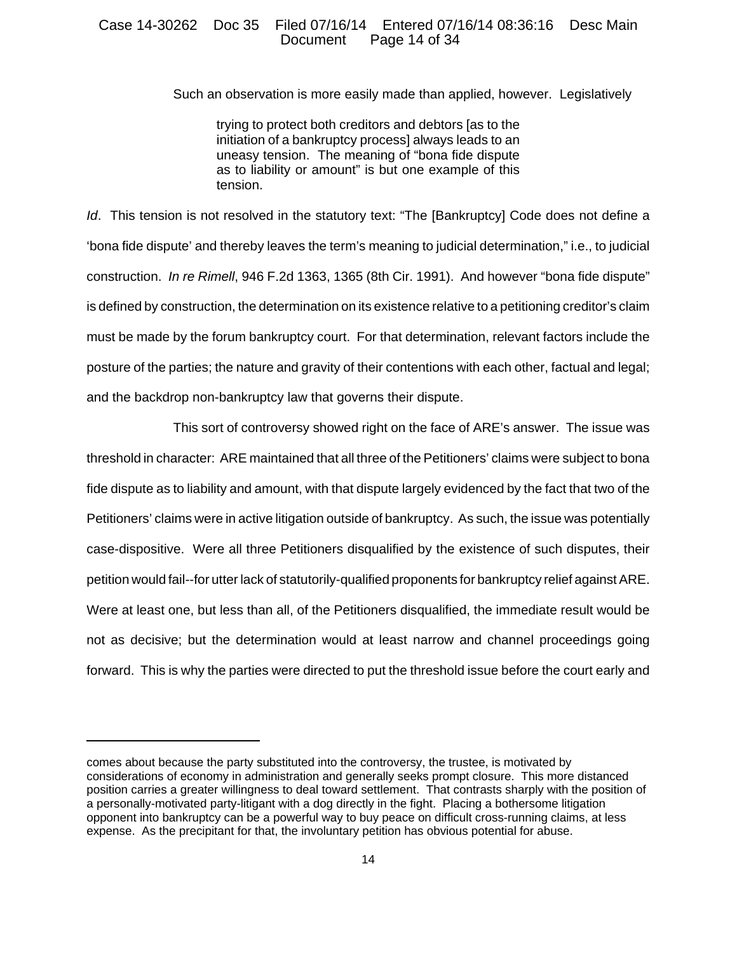### Case 14-30262 Doc 35 Filed 07/16/14 Entered 07/16/14 08:36:16 Desc Main Page 14 of 34

Such an observation is more easily made than applied, however. Legislatively

trying to protect both creditors and debtors [as to the initiation of a bankruptcy process] always leads to an uneasy tension. The meaning of "bona fide dispute as to liability or amount" is but one example of this tension.

*Id*. This tension is not resolved in the statutory text: "The [Bankruptcy] Code does not define a 'bona fide dispute' and thereby leaves the term's meaning to judicial determination," i.e., to judicial construction. *In re Rimell*, 946 F.2d 1363, 1365 (8th Cir. 1991). And however "bona fide dispute" is defined by construction, the determination on its existence relative to a petitioning creditor's claim must be made by the forum bankruptcy court. For that determination, relevant factors include the posture of the parties; the nature and gravity of their contentions with each other, factual and legal; and the backdrop non-bankruptcy law that governs their dispute.

This sort of controversy showed right on the face of ARE's answer. The issue was threshold in character: ARE maintained that all three of the Petitioners' claims were subject to bona fide dispute as to liability and amount, with that dispute largely evidenced by the fact that two of the Petitioners' claims were in active litigation outside of bankruptcy. As such, the issue was potentially case-dispositive. Were all three Petitioners disqualified by the existence of such disputes, their petition would fail--for utter lack of statutorily-qualified proponents for bankruptcy relief against ARE. Were at least one, but less than all, of the Petitioners disqualified, the immediate result would be not as decisive; but the determination would at least narrow and channel proceedings going forward. This is why the parties were directed to put the threshold issue before the court early and

comes about because the party substituted into the controversy, the trustee, is motivated by considerations of economy in administration and generally seeks prompt closure. This more distanced position carries a greater willingness to deal toward settlement. That contrasts sharply with the position of a personally-motivated party-litigant with a dog directly in the fight. Placing a bothersome litigation opponent into bankruptcy can be a powerful way to buy peace on difficult cross-running claims, at less expense. As the precipitant for that, the involuntary petition has obvious potential for abuse.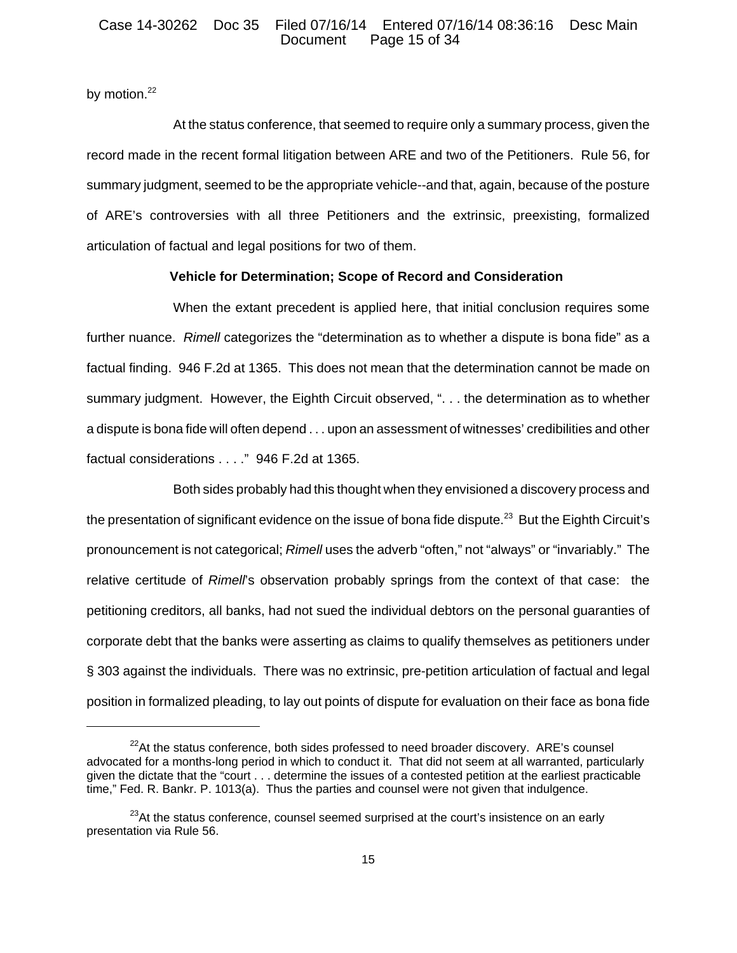## Case 14-30262 Doc 35 Filed 07/16/14 Entered 07/16/14 08:36:16 Desc Main Page 15 of 34

by motion.<sup>22</sup>

At the status conference, that seemed to require only a summary process, given the record made in the recent formal litigation between ARE and two of the Petitioners. Rule 56, for summary judgment, seemed to be the appropriate vehicle--and that, again, because of the posture of ARE's controversies with all three Petitioners and the extrinsic, preexisting, formalized articulation of factual and legal positions for two of them.

## **Vehicle for Determination; Scope of Record and Consideration**

When the extant precedent is applied here, that initial conclusion requires some further nuance. *Rimell* categorizes the "determination as to whether a dispute is bona fide" as a factual finding. 946 F.2d at 1365. This does not mean that the determination cannot be made on summary judgment. However, the Eighth Circuit observed, ". . . the determination as to whether a dispute is bona fide will often depend . . . upon an assessment of witnesses' credibilities and other factual considerations . . . ." 946 F.2d at 1365.

Both sides probably had this thought when they envisioned a discovery process and the presentation of significant evidence on the issue of bona fide dispute.<sup>23</sup> But the Eighth Circuit's pronouncement is not categorical; *Rimell* uses the adverb "often," not "always" or "invariably." The relative certitude of *Rimell*'s observation probably springs from the context of that case: the petitioning creditors, all banks, had not sued the individual debtors on the personal guaranties of corporate debt that the banks were asserting as claims to qualify themselves as petitioners under § 303 against the individuals. There was no extrinsic, pre-petition articulation of factual and legal position in formalized pleading, to lay out points of dispute for evaluation on their face as bona fide

 $^{22}$ At the status conference, both sides professed to need broader discovery. ARE's counsel advocated for a months-long period in which to conduct it. That did not seem at all warranted, particularly given the dictate that the "court . . . determine the issues of a contested petition at the earliest practicable time," Fed. R. Bankr. P. 1013(a). Thus the parties and counsel were not given that indulgence.

 $23$ At the status conference, counsel seemed surprised at the court's insistence on an early presentation via Rule 56.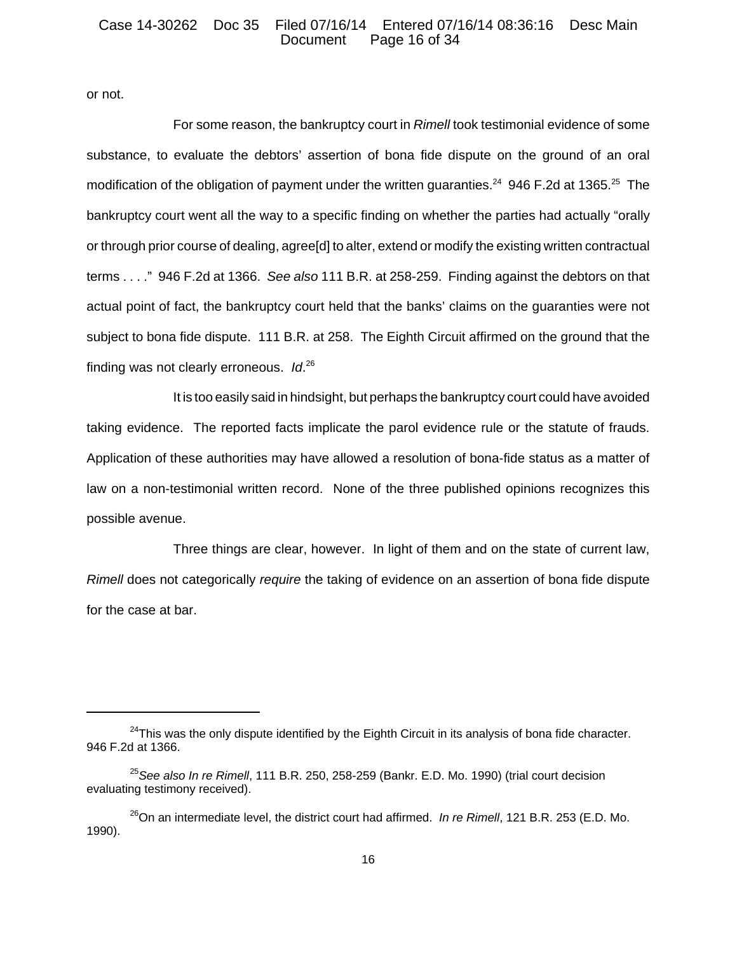#### Case 14-30262 Doc 35 Filed 07/16/14 Entered 07/16/14 08:36:16 Desc Main Page 16 of 34

or not.

For some reason, the bankruptcy court in *Rimell* took testimonial evidence of some substance, to evaluate the debtors' assertion of bona fide dispute on the ground of an oral modification of the obligation of payment under the written guaranties.<sup>24</sup> 946 F.2d at 1365.<sup>25</sup> The bankruptcy court went all the way to a specific finding on whether the parties had actually "orally or through prior course of dealing, agree[d] to alter, extend or modify the existing written contractual terms . . . ." 946 F.2d at 1366. *See also* 111 B.R. at 258-259. Finding against the debtors on that actual point of fact, the bankruptcy court held that the banks' claims on the guaranties were not subject to bona fide dispute. 111 B.R. at 258. The Eighth Circuit affirmed on the ground that the finding was not clearly erroneous. *Id*. 26

It is too easily said in hindsight, but perhaps the bankruptcy court could have avoided taking evidence. The reported facts implicate the parol evidence rule or the statute of frauds. Application of these authorities may have allowed a resolution of bona-fide status as a matter of law on a non-testimonial written record. None of the three published opinions recognizes this possible avenue.

Three things are clear, however. In light of them and on the state of current law, *Rimell* does not categorically *require* the taking of evidence on an assertion of bona fide dispute for the case at bar.

 $24$ This was the only dispute identified by the Eighth Circuit in its analysis of bona fide character. 946 F.2d at 1366.

<sup>25</sup>*See also In re Rimell*, 111 B.R. 250, 258-259 (Bankr. E.D. Mo. 1990) (trial court decision evaluating testimony received).

<sup>&</sup>lt;sup>26</sup>On an intermediate level, the district court had affirmed. *In re Rimell*, 121 B.R. 253 (E.D. Mo. 1990).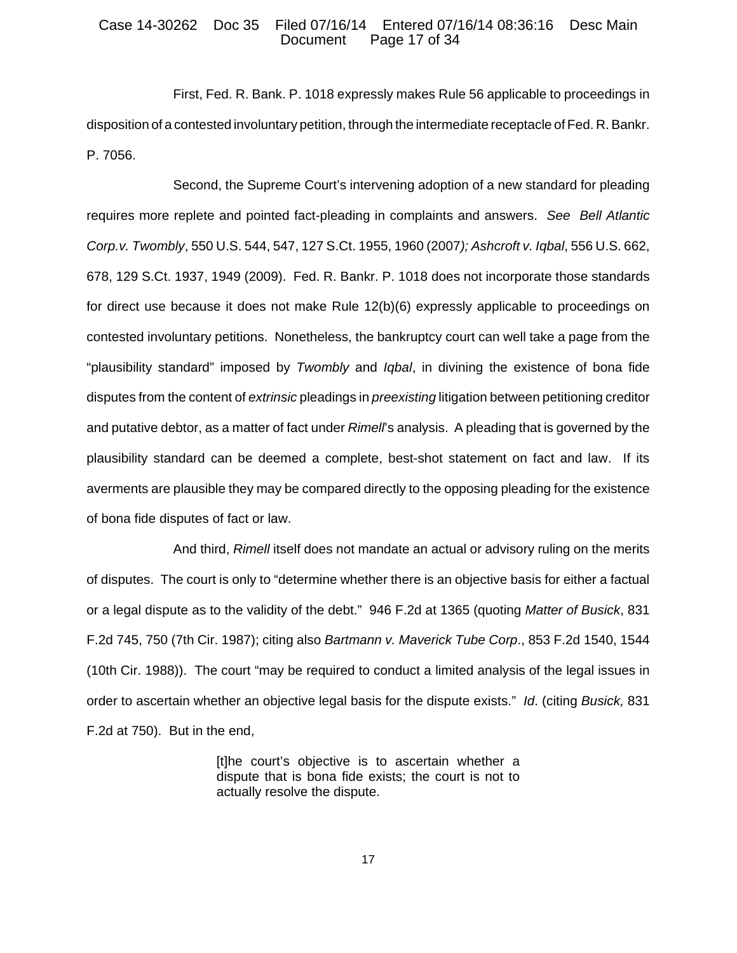### Case 14-30262 Doc 35 Filed 07/16/14 Entered 07/16/14 08:36:16 Desc Main Page 17 of 34

First, Fed. R. Bank. P. 1018 expressly makes Rule 56 applicable to proceedings in disposition of a contested involuntary petition, through the intermediate receptacle of Fed. R. Bankr. P. 7056.

Second, the Supreme Court's intervening adoption of a new standard for pleading requires more replete and pointed fact-pleading in complaints and answers. *See Bell Atlantic Corp.v. Twombly*, 550 U.S. 544, 547, 127 S.Ct. 1955, 1960 (2007*); Ashcroft v. Iqbal*, 556 U.S. 662, 678, 129 S.Ct. 1937, 1949 (2009). Fed. R. Bankr. P. 1018 does not incorporate those standards for direct use because it does not make Rule 12(b)(6) expressly applicable to proceedings on contested involuntary petitions. Nonetheless, the bankruptcy court can well take a page from the "plausibility standard" imposed by *Twombly* and *Iqbal*, in divining the existence of bona fide disputes from the content of *extrinsic* pleadings in *preexisting* litigation between petitioning creditor and putative debtor, as a matter of fact under *Rimell*'s analysis. A pleading that is governed by the plausibility standard can be deemed a complete, best-shot statement on fact and law. If its averments are plausible they may be compared directly to the opposing pleading for the existence of bona fide disputes of fact or law.

And third, *Rimell* itself does not mandate an actual or advisory ruling on the merits of disputes. The court is only to "determine whether there is an objective basis for either a factual or a legal dispute as to the validity of the debt." 946 F.2d at 1365 (quoting *Matter of Busick*, 831 F.2d 745, 750 (7th Cir. 1987); citing also *Bartmann v. Maverick Tube Corp*., 853 F.2d 1540, 1544 (10th Cir. 1988)). The court "may be required to conduct a limited analysis of the legal issues in order to ascertain whether an objective legal basis for the dispute exists." *Id*. (citing *Busick,* 831 F.2d at 750). But in the end,

> [t]he court's objective is to ascertain whether a dispute that is bona fide exists; the court is not to actually resolve the dispute.

> > 17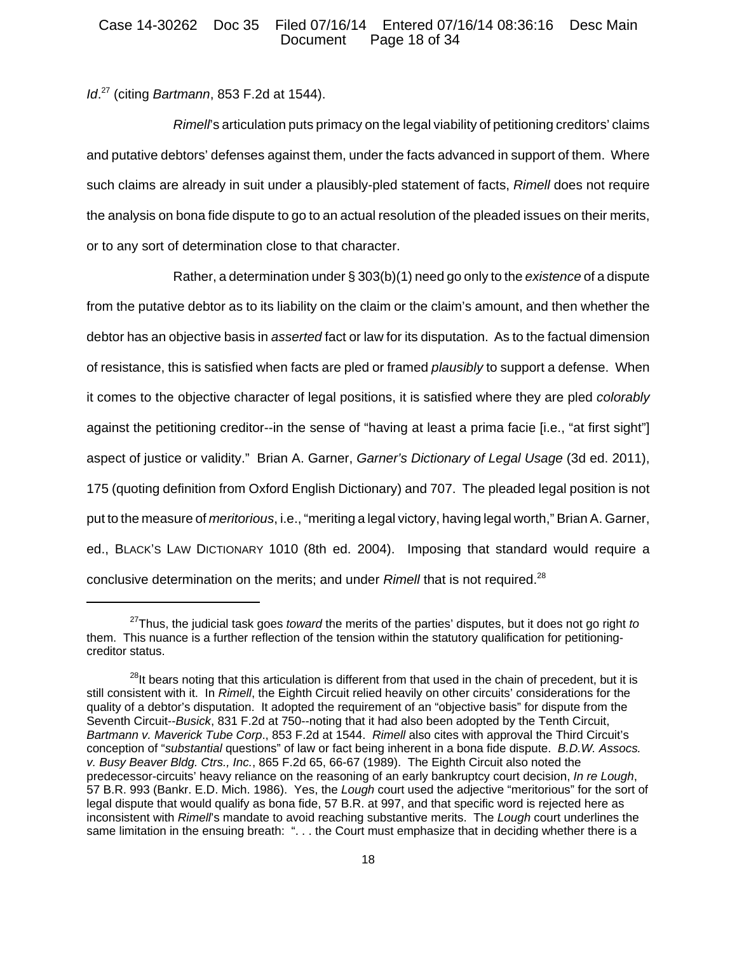### Case 14-30262 Doc 35 Filed 07/16/14 Entered 07/16/14 08:36:16 Desc Main Page 18 of 34

*Id*. 27 (citing *Bartmann*, 853 F.2d at 1544).

*Rimell*'s articulation puts primacy on the legal viability of petitioning creditors' claims and putative debtors' defenses against them, under the facts advanced in support of them. Where such claims are already in suit under a plausibly-pled statement of facts, *Rimell* does not require the analysis on bona fide dispute to go to an actual resolution of the pleaded issues on their merits, or to any sort of determination close to that character.

Rather, a determination under § 303(b)(1) need go only to the *existence* of a dispute from the putative debtor as to its liability on the claim or the claim's amount, and then whether the debtor has an objective basis in *asserted* fact or law for its disputation. As to the factual dimension of resistance, this is satisfied when facts are pled or framed *plausibly* to support a defense. When it comes to the objective character of legal positions, it is satisfied where they are pled *colorably* against the petitioning creditor--in the sense of "having at least a prima facie [i.e., "at first sight"] aspect of justice or validity." Brian A. Garner, *Garner's Dictionary of Legal Usage* (3d ed. 2011), 175 (quoting definition from Oxford English Dictionary) and 707. The pleaded legal position is not put to the measure of *meritorious*, i.e., "meriting a legal victory, having legal worth," Brian A. Garner, ed., BLACK'S LAW DICTIONARY 1010 (8th ed. 2004). Imposing that standard would require a conclusive determination on the merits; and under *Rimell* that is not required.28

<sup>27</sup>Thus, the judicial task goes *toward* the merits of the parties' disputes, but it does not go right *to* them. This nuance is a further reflection of the tension within the statutory qualification for petitioningcreditor status.

<sup>&</sup>lt;sup>28</sup>It bears noting that this articulation is different from that used in the chain of precedent, but it is still consistent with it. In *Rimell*, the Eighth Circuit relied heavily on other circuits' considerations for the quality of a debtor's disputation. It adopted the requirement of an "objective basis" for dispute from the Seventh Circuit--*Busick*, 831 F.2d at 750--noting that it had also been adopted by the Tenth Circuit, *Bartmann v. Maverick Tube Corp*., 853 F.2d at 1544. *Rimell* also cites with approval the Third Circuit's conception of "*substantial* questions" of law or fact being inherent in a bona fide dispute. *B.D.W. Assocs. v. Busy Beaver Bldg. Ctrs., Inc.*, 865 F.2d 65, 66-67 (1989). The Eighth Circuit also noted the predecessor-circuits' heavy reliance on the reasoning of an early bankruptcy court decision, *In re Lough*, 57 B.R. 993 (Bankr. E.D. Mich. 1986). Yes, the *Lough* court used the adjective "meritorious" for the sort of legal dispute that would qualify as bona fide, 57 B.R. at 997, and that specific word is rejected here as inconsistent with *Rimell*'s mandate to avoid reaching substantive merits. The *Lough* court underlines the same limitation in the ensuing breath: "... the Court must emphasize that in deciding whether there is a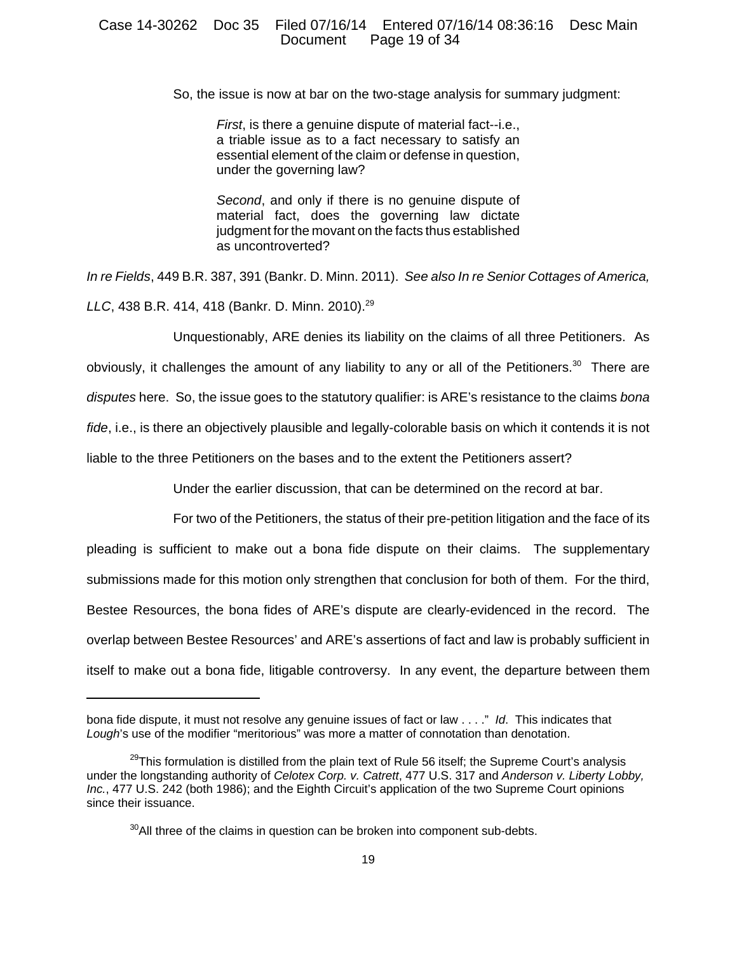### Case 14-30262 Doc 35 Filed 07/16/14 Entered 07/16/14 08:36:16 Desc Main Document Page 19 of 34

So, the issue is now at bar on the two-stage analysis for summary judgment:

*First*, is there a genuine dispute of material fact--i.e., a triable issue as to a fact necessary to satisfy an essential element of the claim or defense in question, under the governing law?

*Second*, and only if there is no genuine dispute of material fact, does the governing law dictate judgment for the movant on the facts thus established as uncontroverted?

*In re Fields*, 449 B.R. 387, 391 (Bankr. D. Minn. 2011). *See also In re Senior Cottages of America, LLC*, 438 B.R. 414, 418 (Bankr. D. Minn. 2010).<sup>29</sup>

Unquestionably, ARE denies its liability on the claims of all three Petitioners. As obviously, it challenges the amount of any liability to any or all of the Petitioners.<sup>30</sup> There are *disputes* here. So, the issue goes to the statutory qualifier: is ARE's resistance to the claims *bona fide*, i.e., is there an objectively plausible and legally-colorable basis on which it contends it is not liable to the three Petitioners on the bases and to the extent the Petitioners assert?

Under the earlier discussion, that can be determined on the record at bar.

For two of the Petitioners, the status of their pre-petition litigation and the face of its pleading is sufficient to make out a bona fide dispute on their claims. The supplementary submissions made for this motion only strengthen that conclusion for both of them. For the third, Bestee Resources, the bona fides of ARE's dispute are clearly-evidenced in the record. The overlap between Bestee Resources' and ARE's assertions of fact and law is probably sufficient in itself to make out a bona fide, litigable controversy. In any event, the departure between them

bona fide dispute, it must not resolve any genuine issues of fact or law . . . ." *Id*. This indicates that Lough's use of the modifier "meritorious" was more a matter of connotation than denotation.

 $29$ This formulation is distilled from the plain text of Rule 56 itself; the Supreme Court's analysis under the longstanding authority of *Celotex Corp. v. Catrett*, 477 U.S. 317 and *Anderson v. Liberty Lobby, Inc.*, 477 U.S. 242 (both 1986); and the Eighth Circuit's application of the two Supreme Court opinions since their issuance.

 $30$ All three of the claims in question can be broken into component sub-debts.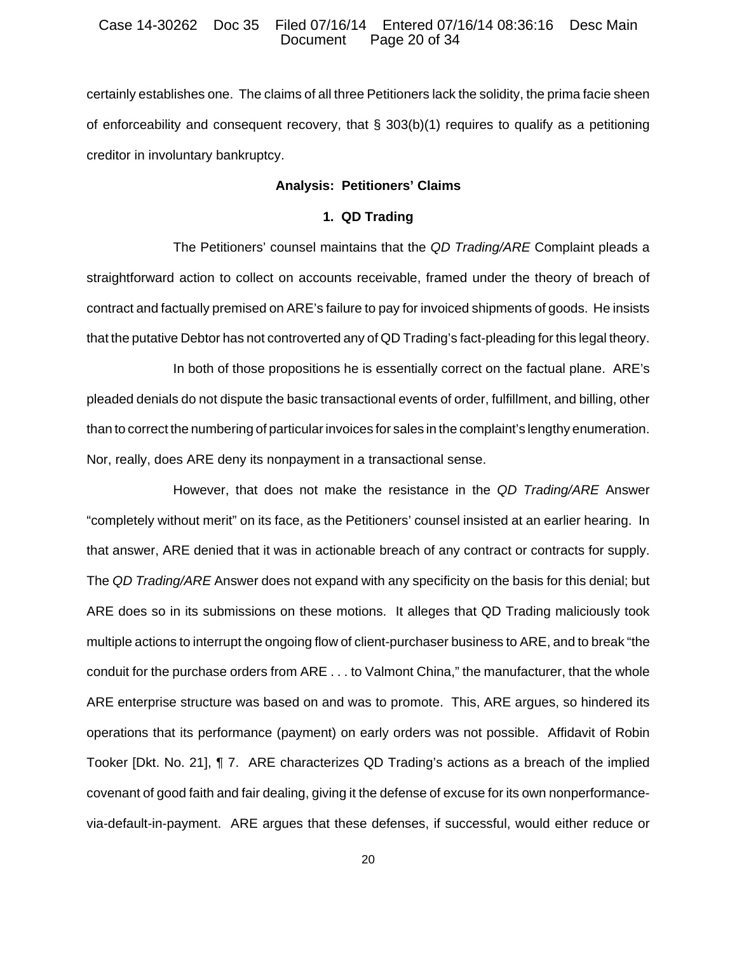#### Case 14-30262 Doc 35 Filed 07/16/14 Entered 07/16/14 08:36:16 Desc Main Page 20 of 34

certainly establishes one. The claims of all three Petitioners lack the solidity, the prima facie sheen of enforceability and consequent recovery, that  $\S$  303(b)(1) requires to qualify as a petitioning creditor in involuntary bankruptcy.

## **Analysis: Petitioners' Claims**

#### **1. QD Trading**

The Petitioners' counsel maintains that the *QD Trading/ARE* Complaint pleads a straightforward action to collect on accounts receivable, framed under the theory of breach of contract and factually premised on ARE's failure to pay for invoiced shipments of goods. He insists that the putative Debtor has not controverted any of QD Trading's fact-pleading for this legal theory.

In both of those propositions he is essentially correct on the factual plane. ARE's pleaded denials do not dispute the basic transactional events of order, fulfillment, and billing, other than to correct the numbering of particular invoices for sales in the complaint's lengthy enumeration. Nor, really, does ARE deny its nonpayment in a transactional sense.

However, that does not make the resistance in the *QD Trading/ARE* Answer "completely without merit" on its face, as the Petitioners' counsel insisted at an earlier hearing. In that answer, ARE denied that it was in actionable breach of any contract or contracts for supply. The *QD Trading/ARE* Answer does not expand with any specificity on the basis for this denial; but ARE does so in its submissions on these motions. It alleges that QD Trading maliciously took multiple actions to interrupt the ongoing flow of client-purchaser business to ARE, and to break "the conduit for the purchase orders from ARE . . . to Valmont China," the manufacturer, that the whole ARE enterprise structure was based on and was to promote. This, ARE argues, so hindered its operations that its performance (payment) on early orders was not possible. Affidavit of Robin Tooker [Dkt. No. 21], ¶ 7. ARE characterizes QD Trading's actions as a breach of the implied covenant of good faith and fair dealing, giving it the defense of excuse for its own nonperformancevia-default-in-payment. ARE argues that these defenses, if successful, would either reduce or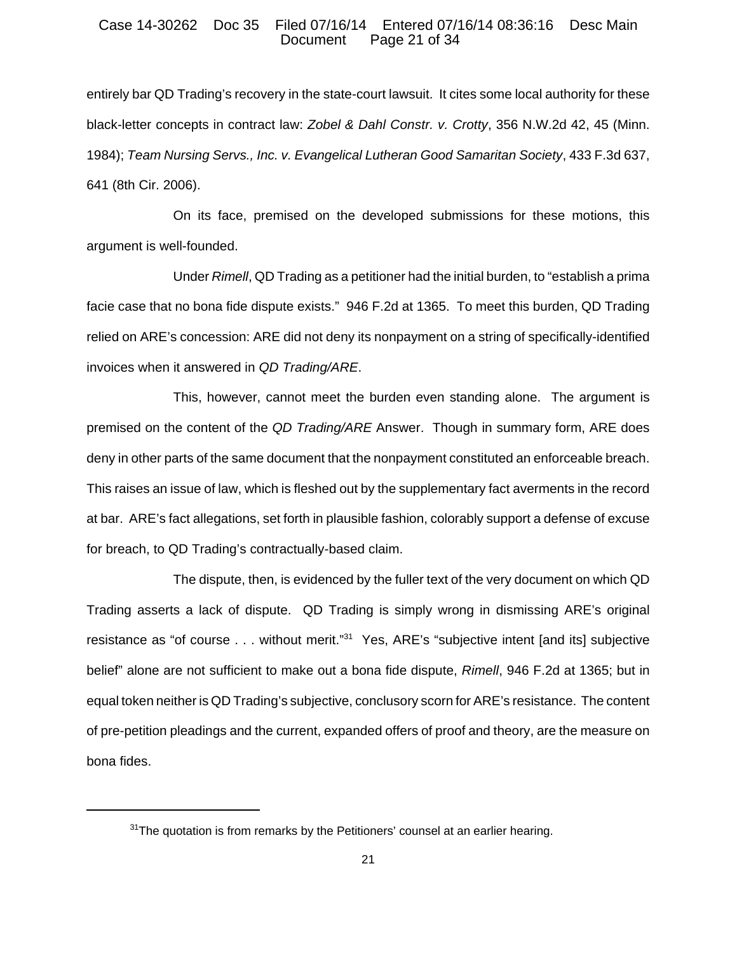#### Case 14-30262 Doc 35 Filed 07/16/14 Entered 07/16/14 08:36:16 Desc Main Page 21 of 34

entirely bar QD Trading's recovery in the state-court lawsuit. It cites some local authority for these black-letter concepts in contract law: *Zobel & Dahl Constr. v. Crotty*, 356 N.W.2d 42, 45 (Minn. 1984); *Team Nursing Servs., Inc. v. Evangelical Lutheran Good Samaritan Society*, 433 F.3d 637, 641 (8th Cir. 2006).

On its face, premised on the developed submissions for these motions, this argument is well-founded.

Under *Rimell*, QD Trading as a petitioner had the initial burden, to "establish a prima facie case that no bona fide dispute exists." 946 F.2d at 1365. To meet this burden, QD Trading relied on ARE's concession: ARE did not deny its nonpayment on a string of specifically-identified invoices when it answered in *QD Trading/ARE*.

This, however, cannot meet the burden even standing alone. The argument is premised on the content of the *QD Trading/ARE* Answer. Though in summary form, ARE does deny in other parts of the same document that the nonpayment constituted an enforceable breach. This raises an issue of law, which is fleshed out by the supplementary fact averments in the record at bar. ARE's fact allegations, set forth in plausible fashion, colorably support a defense of excuse for breach, to QD Trading's contractually-based claim.

The dispute, then, is evidenced by the fuller text of the very document on which QD Trading asserts a lack of dispute. QD Trading is simply wrong in dismissing ARE's original resistance as "of course . . . without merit."<sup>31</sup> Yes, ARE's "subjective intent [and its] subjective belief" alone are not sufficient to make out a bona fide dispute, *Rimell*, 946 F.2d at 1365; but in equal token neither is QD Trading's subjective, conclusory scorn for ARE's resistance. The content of pre-petition pleadings and the current, expanded offers of proof and theory, are the measure on bona fides.

 $31$ The quotation is from remarks by the Petitioners' counsel at an earlier hearing.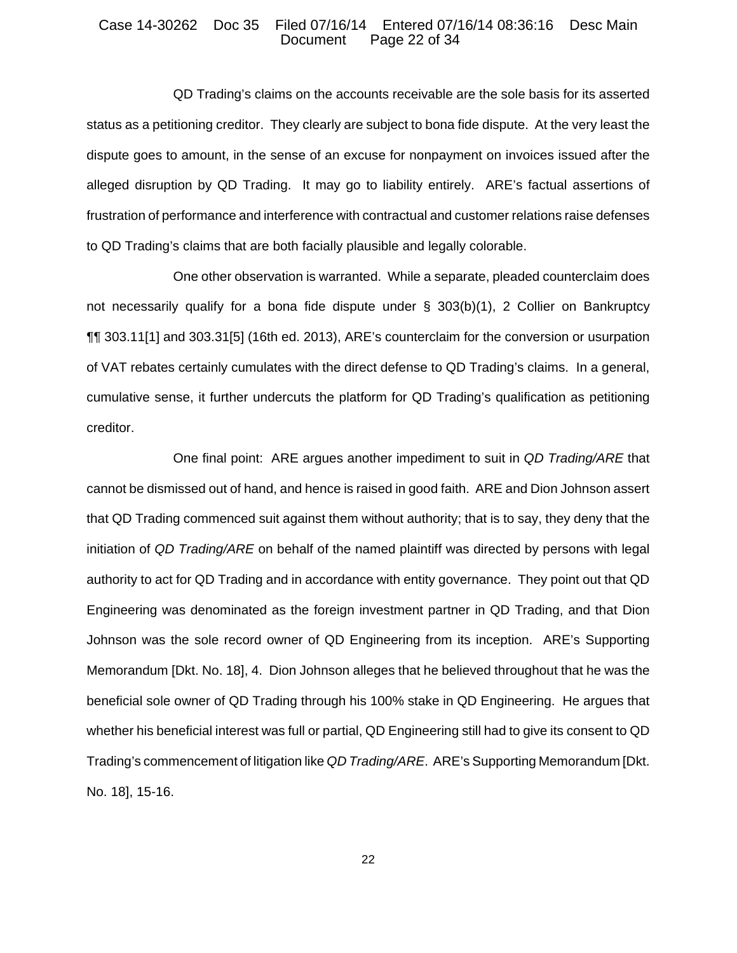## Case 14-30262 Doc 35 Filed 07/16/14 Entered 07/16/14 08:36:16 Desc Main Page 22 of 34

QD Trading's claims on the accounts receivable are the sole basis for its asserted status as a petitioning creditor. They clearly are subject to bona fide dispute. At the very least the dispute goes to amount, in the sense of an excuse for nonpayment on invoices issued after the alleged disruption by QD Trading. It may go to liability entirely. ARE's factual assertions of frustration of performance and interference with contractual and customer relations raise defenses to QD Trading's claims that are both facially plausible and legally colorable.

One other observation is warranted. While a separate, pleaded counterclaim does not necessarily qualify for a bona fide dispute under § 303(b)(1), 2 Collier on Bankruptcy ¶¶ 303.11[1] and 303.31[5] (16th ed. 2013), ARE's counterclaim for the conversion or usurpation of VAT rebates certainly cumulates with the direct defense to QD Trading's claims. In a general, cumulative sense, it further undercuts the platform for QD Trading's qualification as petitioning creditor.

One final point: ARE argues another impediment to suit in *QD Trading/ARE* that cannot be dismissed out of hand, and hence is raised in good faith. ARE and Dion Johnson assert that QD Trading commenced suit against them without authority; that is to say, they deny that the initiation of *QD Trading/ARE* on behalf of the named plaintiff was directed by persons with legal authority to act for QD Trading and in accordance with entity governance. They point out that QD Engineering was denominated as the foreign investment partner in QD Trading, and that Dion Johnson was the sole record owner of QD Engineering from its inception. ARE's Supporting Memorandum [Dkt. No. 18], 4. Dion Johnson alleges that he believed throughout that he was the beneficial sole owner of QD Trading through his 100% stake in QD Engineering. He argues that whether his beneficial interest was full or partial, QD Engineering still had to give its consent to QD Trading's commencement of litigation like *QD Trading/ARE*. ARE's Supporting Memorandum [Dkt. No. 18], 15-16.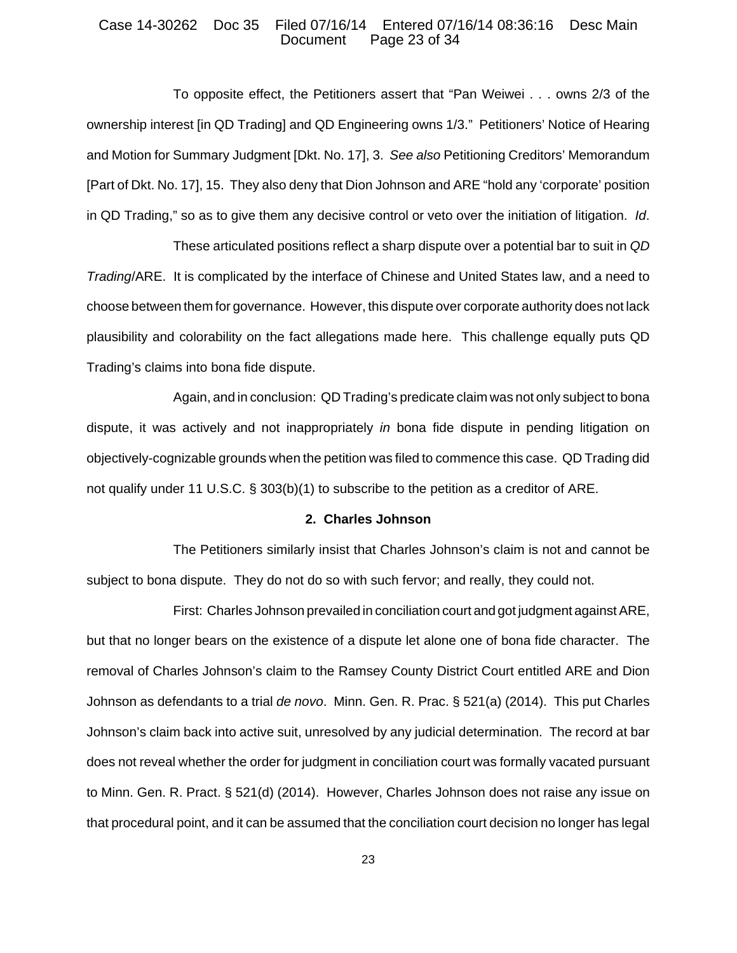## Case 14-30262 Doc 35 Filed 07/16/14 Entered 07/16/14 08:36:16 Desc Main Page 23 of 34

To opposite effect, the Petitioners assert that "Pan Weiwei . . . owns 2/3 of the ownership interest [in QD Trading] and QD Engineering owns 1/3." Petitioners' Notice of Hearing and Motion for Summary Judgment [Dkt. No. 17], 3. *See also* Petitioning Creditors' Memorandum [Part of Dkt. No. 17], 15. They also deny that Dion Johnson and ARE "hold any 'corporate' position in QD Trading," so as to give them any decisive control or veto over the initiation of litigation. *Id*.

These articulated positions reflect a sharp dispute over a potential bar to suit in *QD Trading*/ARE. It is complicated by the interface of Chinese and United States law, and a need to choose between them for governance. However, this dispute over corporate authority does not lack plausibility and colorability on the fact allegations made here. This challenge equally puts QD Trading's claims into bona fide dispute.

Again, and in conclusion: QD Trading's predicate claim was not only subject to bona dispute, it was actively and not inappropriately *in* bona fide dispute in pending litigation on objectively-cognizable grounds when the petition was filed to commence this case. QD Trading did not qualify under 11 U.S.C. § 303(b)(1) to subscribe to the petition as a creditor of ARE.

### **2. Charles Johnson**

The Petitioners similarly insist that Charles Johnson's claim is not and cannot be subject to bona dispute. They do not do so with such fervor; and really, they could not.

First: Charles Johnson prevailed in conciliation court and got judgment against ARE, but that no longer bears on the existence of a dispute let alone one of bona fide character. The removal of Charles Johnson's claim to the Ramsey County District Court entitled ARE and Dion Johnson as defendants to a trial *de novo*. Minn. Gen. R. Prac. § 521(a) (2014). This put Charles Johnson's claim back into active suit, unresolved by any judicial determination. The record at bar does not reveal whether the order for judgment in conciliation court was formally vacated pursuant to Minn. Gen. R. Pract. § 521(d) (2014). However, Charles Johnson does not raise any issue on that procedural point, and it can be assumed that the conciliation court decision no longer has legal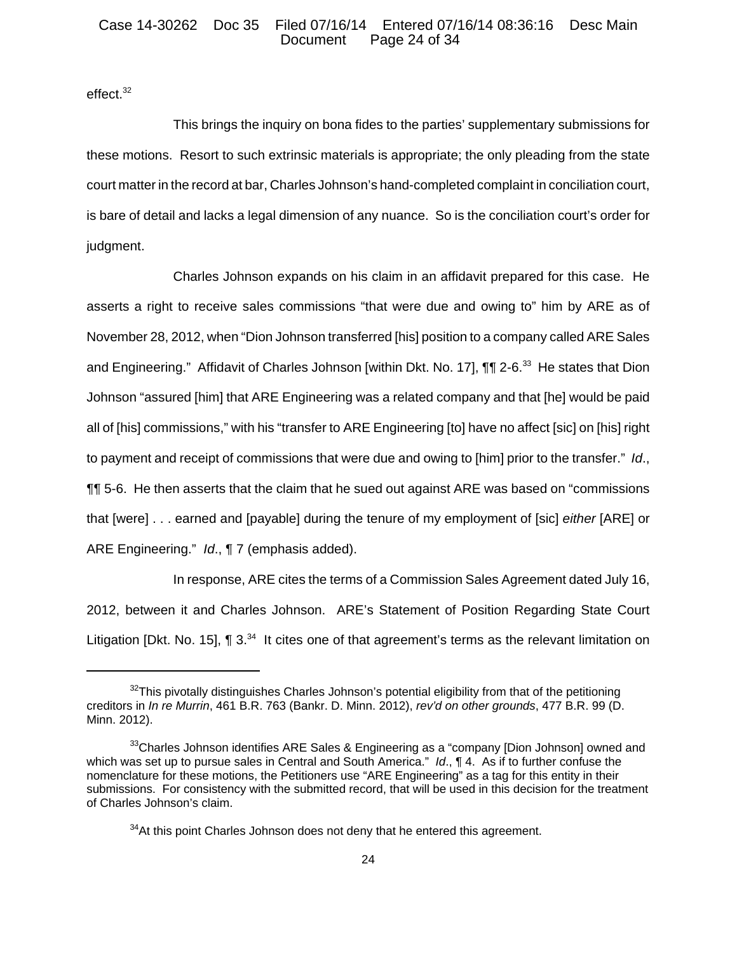### Case 14-30262 Doc 35 Filed 07/16/14 Entered 07/16/14 08:36:16 Desc Main Page 24 of 34

effect.<sup>32</sup>

This brings the inquiry on bona fides to the parties' supplementary submissions for these motions. Resort to such extrinsic materials is appropriate; the only pleading from the state court matter in the record at bar, Charles Johnson's hand-completed complaint in conciliation court, is bare of detail and lacks a legal dimension of any nuance. So is the conciliation court's order for judgment.

Charles Johnson expands on his claim in an affidavit prepared for this case. He asserts a right to receive sales commissions "that were due and owing to" him by ARE as of November 28, 2012, when "Dion Johnson transferred [his] position to a company called ARE Sales and Engineering." Affidavit of Charles Johnson [within Dkt. No. 17],  $\P\P$  2-6.<sup>33</sup> He states that Dion Johnson "assured [him] that ARE Engineering was a related company and that [he] would be paid all of [his] commissions," with his "transfer to ARE Engineering [to] have no affect [sic] on [his] right to payment and receipt of commissions that were due and owing to [him] prior to the transfer." *Id*., ¶¶ 5-6. He then asserts that the claim that he sued out against ARE was based on "commissions that [were] . . . earned and [payable] during the tenure of my employment of [sic] *either* [ARE] or ARE Engineering." *Id*., ¶ 7 (emphasis added).

In response, ARE cites the terms of a Commission Sales Agreement dated July 16, 2012, between it and Charles Johnson. ARE's Statement of Position Regarding State Court Litigation [Dkt. No. 15],  $\P$  3.<sup>34</sup> It cites one of that agreement's terms as the relevant limitation on

 $32$ This pivotally distinguishes Charles Johnson's potential eligibility from that of the petitioning creditors in *In re Murrin*, 461 B.R. 763 (Bankr. D. Minn. 2012), *rev'd on other grounds*, 477 B.R. 99 (D. Minn. 2012).

<sup>&</sup>lt;sup>33</sup>Charles Johnson identifies ARE Sales & Engineering as a "company [Dion Johnson] owned and which was set up to pursue sales in Central and South America." *Id*., ¶ 4. As if to further confuse the nomenclature for these motions, the Petitioners use "ARE Engineering" as a tag for this entity in their submissions. For consistency with the submitted record, that will be used in this decision for the treatment of Charles Johnson's claim.

 $34$ At this point Charles Johnson does not deny that he entered this agreement.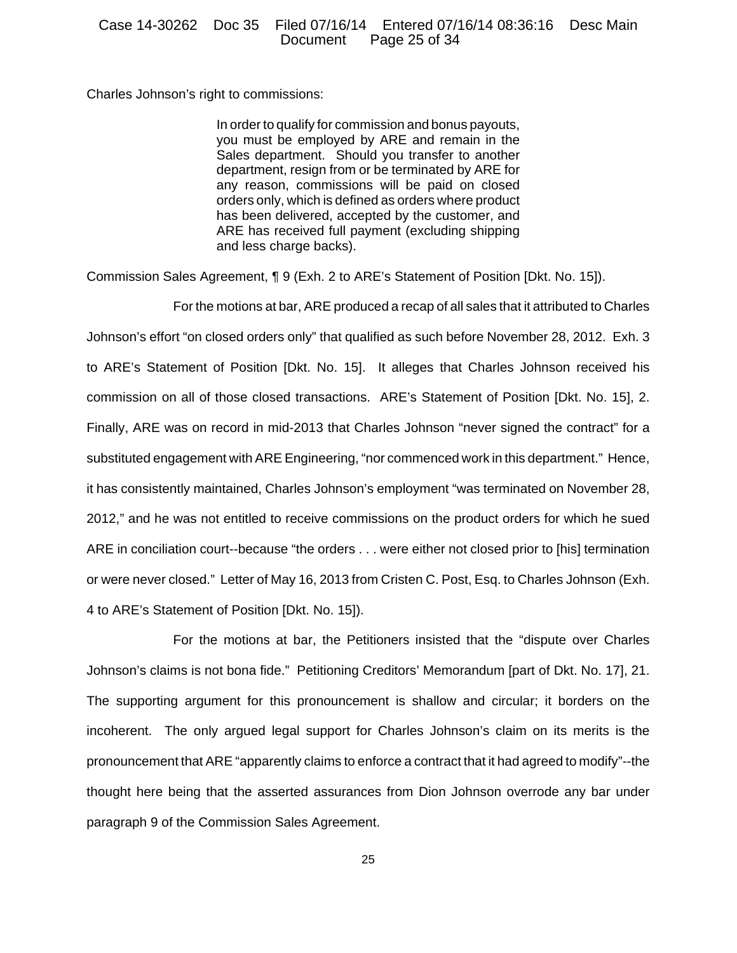Charles Johnson's right to commissions:

In order to qualify for commission and bonus payouts, you must be employed by ARE and remain in the Sales department. Should you transfer to another department, resign from or be terminated by ARE for any reason, commissions will be paid on closed orders only, which is defined as orders where product has been delivered, accepted by the customer, and ARE has received full payment (excluding shipping and less charge backs).

Commission Sales Agreement, ¶ 9 (Exh. 2 to ARE's Statement of Position [Dkt. No. 15]).

For the motions at bar, ARE produced a recap of all sales that it attributed to Charles Johnson's effort "on closed orders only" that qualified as such before November 28, 2012. Exh. 3 to ARE's Statement of Position [Dkt. No. 15]. It alleges that Charles Johnson received his commission on all of those closed transactions. ARE's Statement of Position [Dkt. No. 15], 2. Finally, ARE was on record in mid-2013 that Charles Johnson "never signed the contract" for a substituted engagement with ARE Engineering, "nor commenced work in this department." Hence, it has consistently maintained, Charles Johnson's employment "was terminated on November 28, 2012," and he was not entitled to receive commissions on the product orders for which he sued ARE in conciliation court--because "the orders . . . were either not closed prior to [his] termination or were never closed." Letter of May 16, 2013 from Cristen C. Post, Esq. to Charles Johnson (Exh. 4 to ARE's Statement of Position [Dkt. No. 15]).

For the motions at bar, the Petitioners insisted that the "dispute over Charles Johnson's claims is not bona fide." Petitioning Creditors' Memorandum [part of Dkt. No. 17], 21. The supporting argument for this pronouncement is shallow and circular; it borders on the incoherent. The only argued legal support for Charles Johnson's claim on its merits is the pronouncement that ARE "apparently claims to enforce a contract that it had agreed to modify"--the thought here being that the asserted assurances from Dion Johnson overrode any bar under paragraph 9 of the Commission Sales Agreement.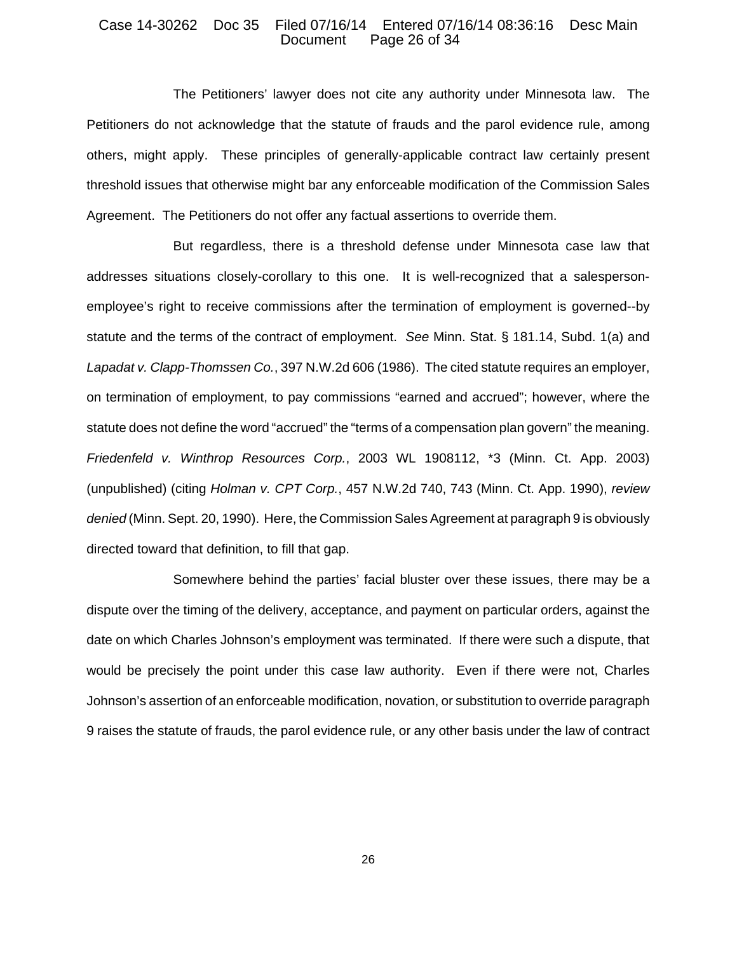## Case 14-30262 Doc 35 Filed 07/16/14 Entered 07/16/14 08:36:16 Desc Main Page 26 of 34

The Petitioners' lawyer does not cite any authority under Minnesota law. The Petitioners do not acknowledge that the statute of frauds and the parol evidence rule, among others, might apply. These principles of generally-applicable contract law certainly present threshold issues that otherwise might bar any enforceable modification of the Commission Sales Agreement. The Petitioners do not offer any factual assertions to override them.

But regardless, there is a threshold defense under Minnesota case law that addresses situations closely-corollary to this one. It is well-recognized that a salespersonemployee's right to receive commissions after the termination of employment is governed--by statute and the terms of the contract of employment. *See* Minn. Stat. § 181.14, Subd. 1(a) and *Lapadat v. Clapp-Thomssen Co.*, 397 N.W.2d 606 (1986). The cited statute requires an employer, on termination of employment, to pay commissions "earned and accrued"; however, where the statute does not define the word "accrued" the "terms of a compensation plan govern" the meaning. *Friedenfeld v. Winthrop Resources Corp.*, 2003 WL 1908112, \*3 (Minn. Ct. App. 2003) (unpublished) (citing *Holman v. CPT Corp.*, 457 N.W.2d 740, 743 (Minn. Ct. App. 1990), *review denied* (Minn. Sept. 20, 1990). Here, the Commission Sales Agreement at paragraph 9 is obviously directed toward that definition, to fill that gap.

Somewhere behind the parties' facial bluster over these issues, there may be a dispute over the timing of the delivery, acceptance, and payment on particular orders, against the date on which Charles Johnson's employment was terminated. If there were such a dispute, that would be precisely the point under this case law authority. Even if there were not, Charles Johnson's assertion of an enforceable modification, novation, or substitution to override paragraph 9 raises the statute of frauds, the parol evidence rule, or any other basis under the law of contract

26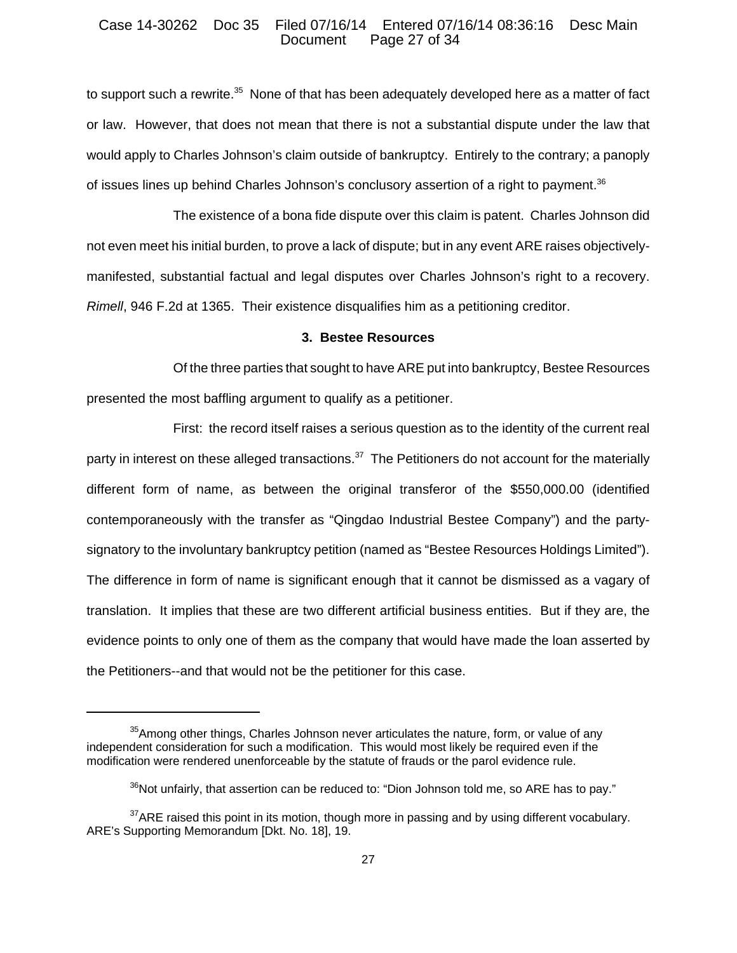#### Case 14-30262 Doc 35 Filed 07/16/14 Entered 07/16/14 08:36:16 Desc Main Page 27 of 34

to support such a rewrite.<sup>35</sup> None of that has been adequately developed here as a matter of fact or law. However, that does not mean that there is not a substantial dispute under the law that would apply to Charles Johnson's claim outside of bankruptcy. Entirely to the contrary; a panoply of issues lines up behind Charles Johnson's conclusory assertion of a right to payment.<sup>36</sup>

The existence of a bona fide dispute over this claim is patent. Charles Johnson did not even meet his initial burden, to prove a lack of dispute; but in any event ARE raises objectivelymanifested, substantial factual and legal disputes over Charles Johnson's right to a recovery. *Rimell*, 946 F.2d at 1365. Their existence disqualifies him as a petitioning creditor.

## **3. Bestee Resources**

Of the three parties that sought to have ARE put into bankruptcy, Bestee Resources presented the most baffling argument to qualify as a petitioner.

First: the record itself raises a serious question as to the identity of the current real party in interest on these alleged transactions. $37$  The Petitioners do not account for the materially different form of name, as between the original transferor of the \$550,000.00 (identified contemporaneously with the transfer as "Qingdao Industrial Bestee Company") and the partysignatory to the involuntary bankruptcy petition (named as "Bestee Resources Holdings Limited"). The difference in form of name is significant enough that it cannot be dismissed as a vagary of translation. It implies that these are two different artificial business entities. But if they are, the evidence points to only one of them as the company that would have made the loan asserted by the Petitioners--and that would not be the petitioner for this case.

<sup>&</sup>lt;sup>35</sup>Among other things, Charles Johnson never articulates the nature, form, or value of any independent consideration for such a modification. This would most likely be required even if the modification were rendered unenforceable by the statute of frauds or the parol evidence rule.

 $36$ Not unfairly, that assertion can be reduced to: "Dion Johnson told me, so ARE has to pay."

 $37$ ARE raised this point in its motion, though more in passing and by using different vocabulary. ARE's Supporting Memorandum [Dkt. No. 18], 19.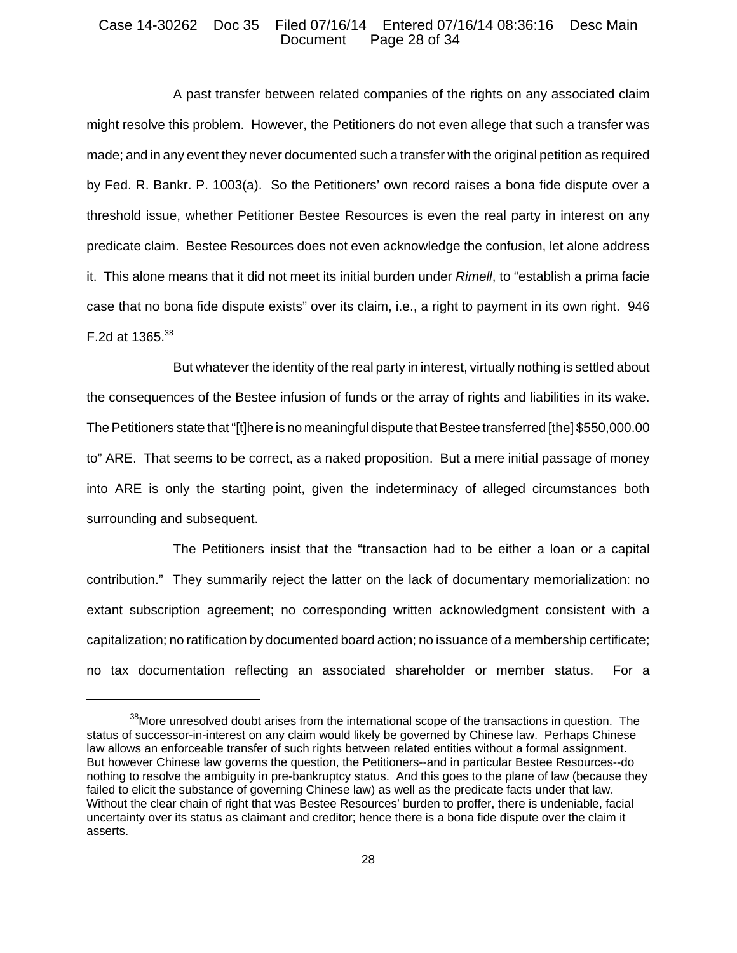#### Case 14-30262 Doc 35 Filed 07/16/14 Entered 07/16/14 08:36:16 Desc Main Page 28 of 34

A past transfer between related companies of the rights on any associated claim might resolve this problem. However, the Petitioners do not even allege that such a transfer was made; and in any event they never documented such a transfer with the original petition as required by Fed. R. Bankr. P. 1003(a). So the Petitioners' own record raises a bona fide dispute over a threshold issue, whether Petitioner Bestee Resources is even the real party in interest on any predicate claim. Bestee Resources does not even acknowledge the confusion, let alone address it. This alone means that it did not meet its initial burden under *Rimell*, to "establish a prima facie case that no bona fide dispute exists" over its claim, i.e., a right to payment in its own right. 946 F.2d at  $1365^{38}$ 

But whatever the identity of the real party in interest, virtually nothing is settled about the consequences of the Bestee infusion of funds or the array of rights and liabilities in its wake. The Petitioners state that "[t]here is no meaningful dispute that Bestee transferred [the] \$550,000.00 to" ARE. That seems to be correct, as a naked proposition. But a mere initial passage of money into ARE is only the starting point, given the indeterminacy of alleged circumstances both surrounding and subsequent.

The Petitioners insist that the "transaction had to be either a loan or a capital contribution." They summarily reject the latter on the lack of documentary memorialization: no extant subscription agreement; no corresponding written acknowledgment consistent with a capitalization; no ratification by documented board action; no issuance of a membership certificate; no tax documentation reflecting an associated shareholder or member status. For a

<sup>&</sup>lt;sup>38</sup>More unresolved doubt arises from the international scope of the transactions in question. The status of successor-in-interest on any claim would likely be governed by Chinese law. Perhaps Chinese law allows an enforceable transfer of such rights between related entities without a formal assignment. But however Chinese law governs the question, the Petitioners--and in particular Bestee Resources--do nothing to resolve the ambiguity in pre-bankruptcy status. And this goes to the plane of law (because they failed to elicit the substance of governing Chinese law) as well as the predicate facts under that law. Without the clear chain of right that was Bestee Resources' burden to proffer, there is undeniable, facial uncertainty over its status as claimant and creditor; hence there is a bona fide dispute over the claim it asserts.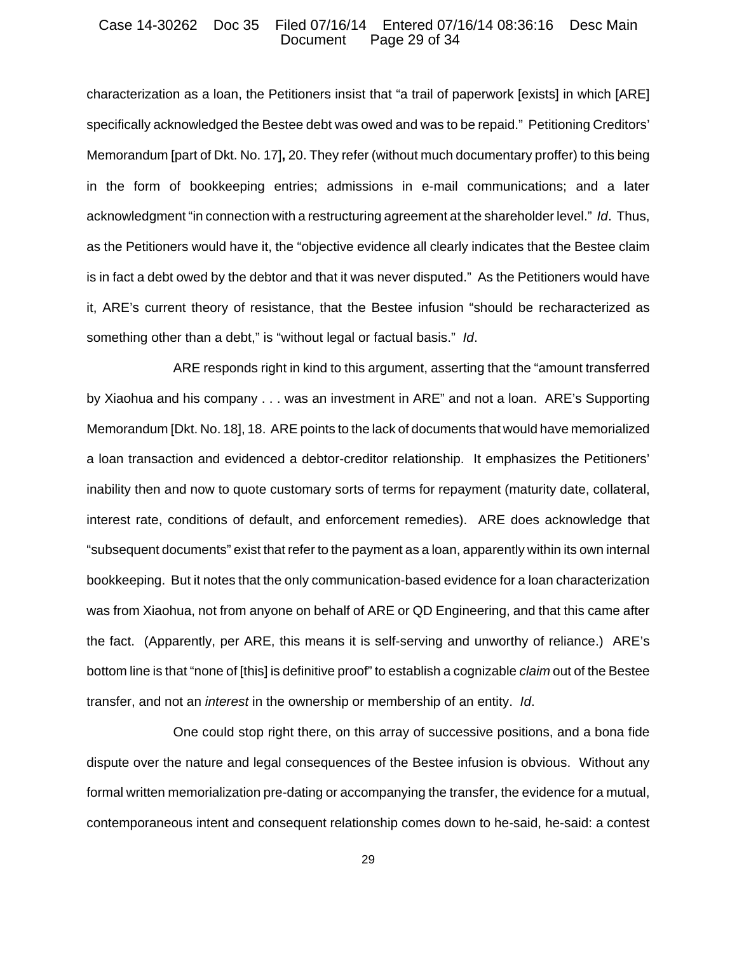### Case 14-30262 Doc 35 Filed 07/16/14 Entered 07/16/14 08:36:16 Desc Main Page 29 of 34

characterization as a loan, the Petitioners insist that "a trail of paperwork [exists] in which [ARE] specifically acknowledged the Bestee debt was owed and was to be repaid." Petitioning Creditors' Memorandum [part of Dkt. No. 17]**,** 20. They refer (without much documentary proffer) to this being in the form of bookkeeping entries; admissions in e-mail communications; and a later acknowledgment "in connection with a restructuring agreement at the shareholder level." *Id*. Thus, as the Petitioners would have it, the "objective evidence all clearly indicates that the Bestee claim is in fact a debt owed by the debtor and that it was never disputed." As the Petitioners would have it, ARE's current theory of resistance, that the Bestee infusion "should be recharacterized as something other than a debt," is "without legal or factual basis." *Id*.

ARE responds right in kind to this argument, asserting that the "amount transferred by Xiaohua and his company . . . was an investment in ARE" and not a loan. ARE's Supporting Memorandum [Dkt. No. 18], 18. ARE points to the lack of documents that would have memorialized a loan transaction and evidenced a debtor-creditor relationship. It emphasizes the Petitioners' inability then and now to quote customary sorts of terms for repayment (maturity date, collateral, interest rate, conditions of default, and enforcement remedies). ARE does acknowledge that "subsequent documents" exist that refer to the payment as a loan, apparently within its own internal bookkeeping. But it notes that the only communication-based evidence for a loan characterization was from Xiaohua, not from anyone on behalf of ARE or QD Engineering, and that this came after the fact. (Apparently, per ARE, this means it is self-serving and unworthy of reliance.) ARE's bottom line is that "none of [this] is definitive proof" to establish a cognizable *claim* out of the Bestee transfer, and not an *interest* in the ownership or membership of an entity. *Id*.

One could stop right there, on this array of successive positions, and a bona fide dispute over the nature and legal consequences of the Bestee infusion is obvious. Without any formal written memorialization pre-dating or accompanying the transfer, the evidence for a mutual, contemporaneous intent and consequent relationship comes down to he-said, he-said: a contest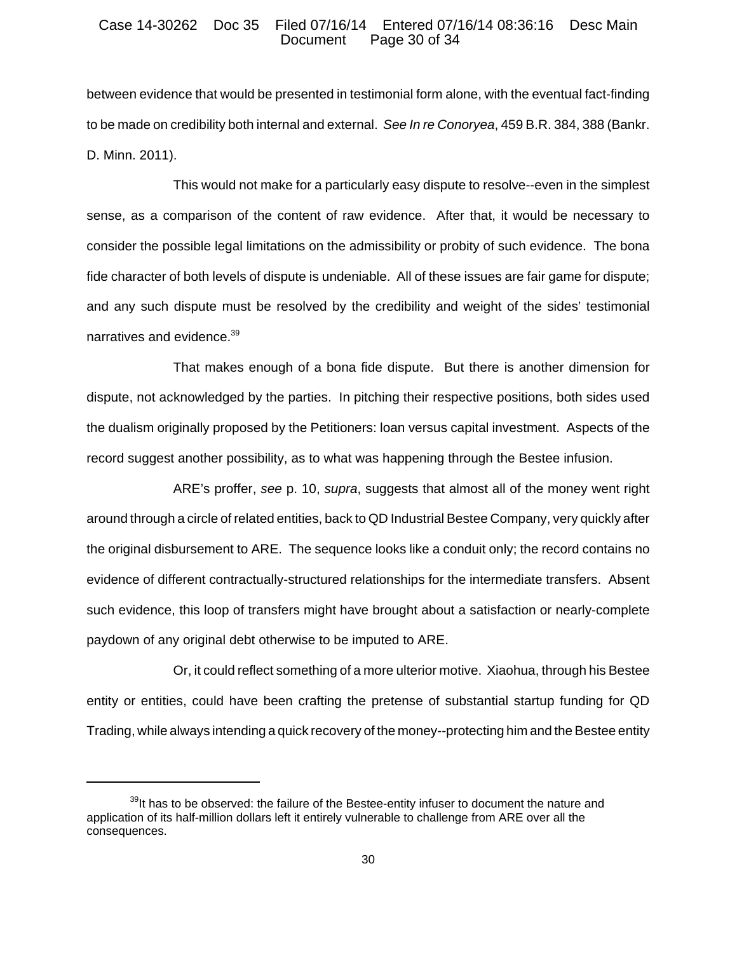#### Case 14-30262 Doc 35 Filed 07/16/14 Entered 07/16/14 08:36:16 Desc Main Page 30 of 34

between evidence that would be presented in testimonial form alone, with the eventual fact-finding to be made on credibility both internal and external. *See In re Conoryea*, 459 B.R. 384, 388 (Bankr. D. Minn. 2011).

This would not make for a particularly easy dispute to resolve--even in the simplest sense, as a comparison of the content of raw evidence. After that, it would be necessary to consider the possible legal limitations on the admissibility or probity of such evidence. The bona fide character of both levels of dispute is undeniable. All of these issues are fair game for dispute; and any such dispute must be resolved by the credibility and weight of the sides' testimonial narratives and evidence.<sup>39</sup>

That makes enough of a bona fide dispute. But there is another dimension for dispute, not acknowledged by the parties. In pitching their respective positions, both sides used the dualism originally proposed by the Petitioners: loan versus capital investment. Aspects of the record suggest another possibility, as to what was happening through the Bestee infusion.

ARE's proffer, *see* p. 10, *supra*, suggests that almost all of the money went right around through a circle of related entities, back to QD Industrial Bestee Company, very quickly after the original disbursement to ARE. The sequence looks like a conduit only; the record contains no evidence of different contractually-structured relationships for the intermediate transfers. Absent such evidence, this loop of transfers might have brought about a satisfaction or nearly-complete paydown of any original debt otherwise to be imputed to ARE.

Or, it could reflect something of a more ulterior motive. Xiaohua, through his Bestee entity or entities, could have been crafting the pretense of substantial startup funding for QD Trading, while always intending a quick recovery of the money--protecting him and the Bestee entity

 $39$ It has to be observed: the failure of the Bestee-entity infuser to document the nature and application of its half-million dollars left it entirely vulnerable to challenge from ARE over all the consequences.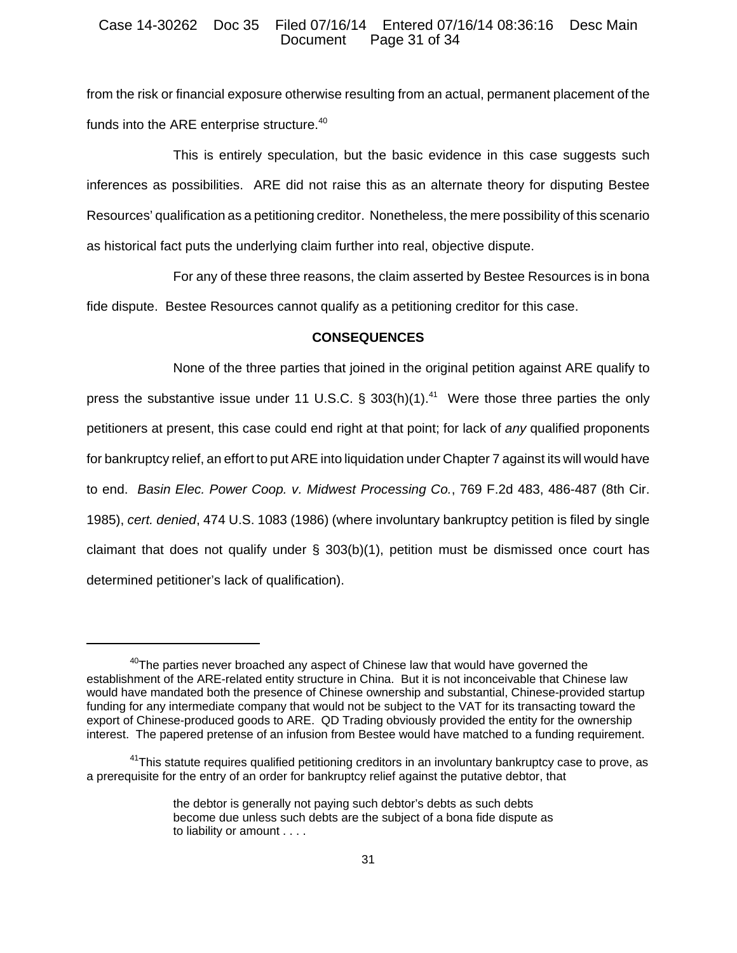### Case 14-30262 Doc 35 Filed 07/16/14 Entered 07/16/14 08:36:16 Desc Main Page 31 of 34

from the risk or financial exposure otherwise resulting from an actual, permanent placement of the funds into the ARE enterprise structure.<sup>40</sup>

This is entirely speculation, but the basic evidence in this case suggests such inferences as possibilities. ARE did not raise this as an alternate theory for disputing Bestee Resources' qualification as a petitioning creditor. Nonetheless, the mere possibility of this scenario as historical fact puts the underlying claim further into real, objective dispute.

For any of these three reasons, the claim asserted by Bestee Resources is in bona fide dispute. Bestee Resources cannot qualify as a petitioning creditor for this case.

## **CONSEQUENCES**

None of the three parties that joined in the original petition against ARE qualify to press the substantive issue under 11 U.S.C. § 303(h)(1).<sup>41</sup> Were those three parties the only petitioners at present, this case could end right at that point; for lack of *any* qualified proponents for bankruptcy relief, an effort to put ARE into liquidation under Chapter 7 against its will would have to end. *Basin Elec. Power Coop. v. Midwest Processing Co.*, 769 F.2d 483, 486-487 (8th Cir. 1985), *cert. denied*, 474 U.S. 1083 (1986) (where involuntary bankruptcy petition is filed by single claimant that does not qualify under § 303(b)(1), petition must be dismissed once court has determined petitioner's lack of qualification).

 $40$ The parties never broached any aspect of Chinese law that would have governed the establishment of the ARE-related entity structure in China. But it is not inconceivable that Chinese law would have mandated both the presence of Chinese ownership and substantial, Chinese-provided startup funding for any intermediate company that would not be subject to the VAT for its transacting toward the export of Chinese-produced goods to ARE. QD Trading obviously provided the entity for the ownership interest. The papered pretense of an infusion from Bestee would have matched to a funding requirement.

<sup>&</sup>lt;sup>41</sup>This statute requires qualified petitioning creditors in an involuntary bankruptcy case to prove, as a prerequisite for the entry of an order for bankruptcy relief against the putative debtor, that

the debtor is generally not paying such debtor's debts as such debts become due unless such debts are the subject of a bona fide dispute as to liability or amount . . . .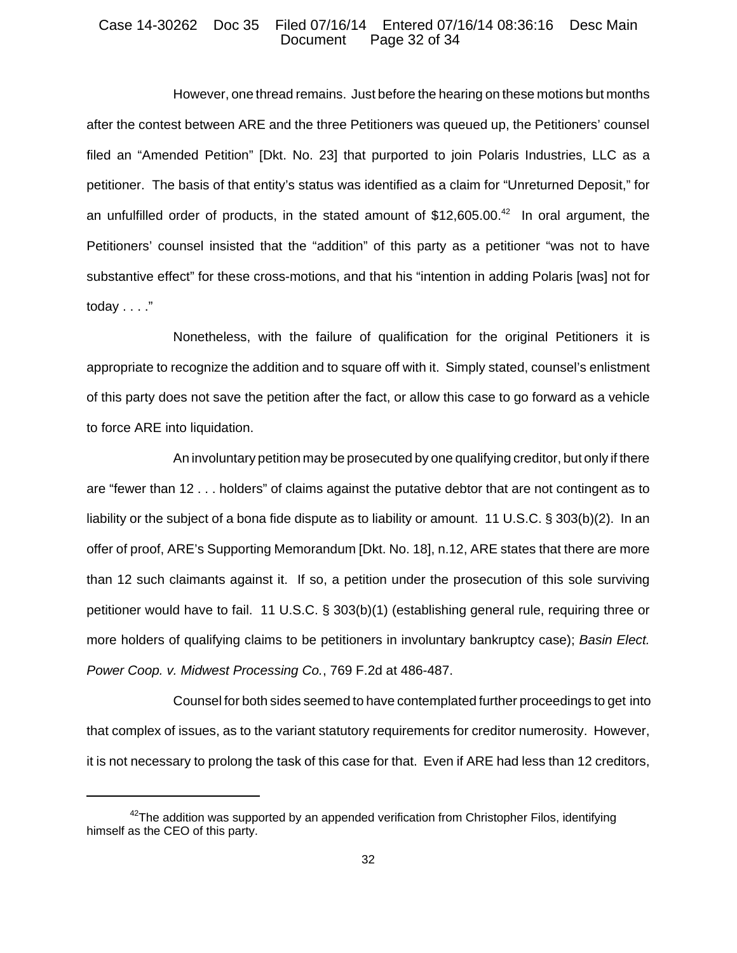## Case 14-30262 Doc 35 Filed 07/16/14 Entered 07/16/14 08:36:16 Desc Main Page 32 of 34

However, one thread remains. Just before the hearing on these motions but months after the contest between ARE and the three Petitioners was queued up, the Petitioners' counsel filed an "Amended Petition" [Dkt. No. 23] that purported to join Polaris Industries, LLC as a petitioner. The basis of that entity's status was identified as a claim for "Unreturned Deposit," for an unfulfilled order of products, in the stated amount of \$12,605.00.<sup>42</sup> In oral argument, the Petitioners' counsel insisted that the "addition" of this party as a petitioner "was not to have substantive effect" for these cross-motions, and that his "intention in adding Polaris [was] not for today . . . ."

Nonetheless, with the failure of qualification for the original Petitioners it is appropriate to recognize the addition and to square off with it. Simply stated, counsel's enlistment of this party does not save the petition after the fact, or allow this case to go forward as a vehicle to force ARE into liquidation.

An involuntary petition may be prosecuted by one qualifying creditor, but only if there are "fewer than 12 . . . holders" of claims against the putative debtor that are not contingent as to liability or the subject of a bona fide dispute as to liability or amount. 11 U.S.C. § 303(b)(2). In an offer of proof, ARE's Supporting Memorandum [Dkt. No. 18], n.12, ARE states that there are more than 12 such claimants against it. If so, a petition under the prosecution of this sole surviving petitioner would have to fail. 11 U.S.C. § 303(b)(1) (establishing general rule, requiring three or more holders of qualifying claims to be petitioners in involuntary bankruptcy case); *Basin Elect. Power Coop. v. Midwest Processing Co.*, 769 F.2d at 486-487.

 Counsel for both sides seemed to have contemplated further proceedings to get into that complex of issues, as to the variant statutory requirements for creditor numerosity. However, it is not necessary to prolong the task of this case for that. Even if ARE had less than 12 creditors,

 $42$ The addition was supported by an appended verification from Christopher Filos, identifying himself as the CEO of this party.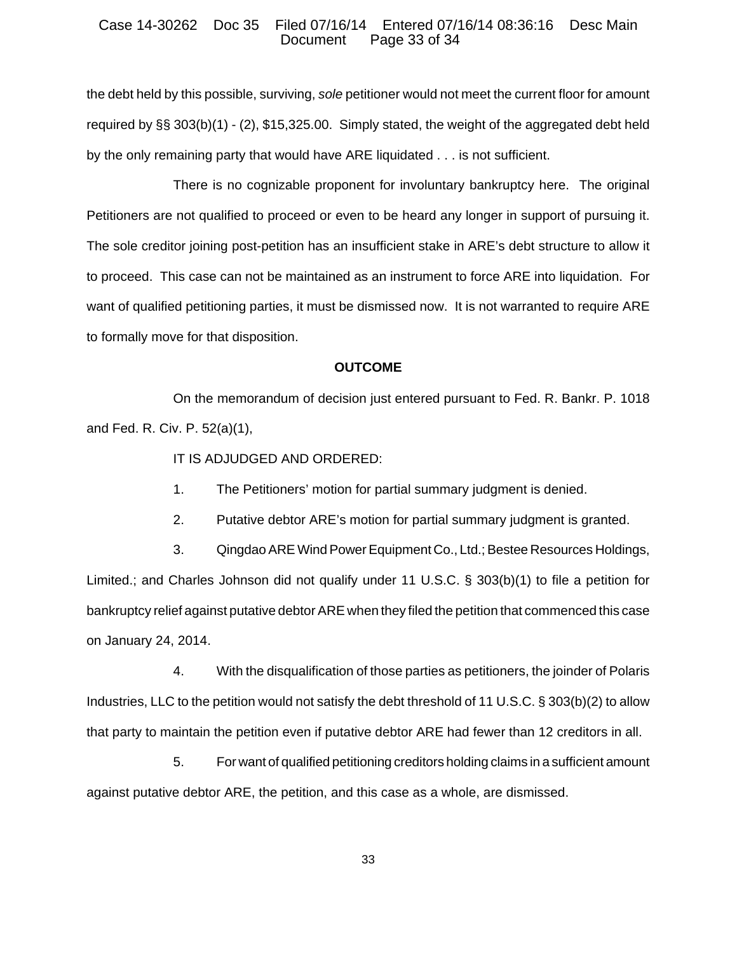### Case 14-30262 Doc 35 Filed 07/16/14 Entered 07/16/14 08:36:16 Desc Main Page 33 of 34

the debt held by this possible, surviving, *sole* petitioner would not meet the current floor for amount required by §§ 303(b)(1) - (2), \$15,325.00. Simply stated, the weight of the aggregated debt held by the only remaining party that would have ARE liquidated . . . is not sufficient.

There is no cognizable proponent for involuntary bankruptcy here. The original Petitioners are not qualified to proceed or even to be heard any longer in support of pursuing it. The sole creditor joining post-petition has an insufficient stake in ARE's debt structure to allow it to proceed. This case can not be maintained as an instrument to force ARE into liquidation. For want of qualified petitioning parties, it must be dismissed now. It is not warranted to require ARE to formally move for that disposition.

### **OUTCOME**

On the memorandum of decision just entered pursuant to Fed. R. Bankr. P. 1018 and Fed. R. Civ. P. 52(a)(1),

IT IS ADJUDGED AND ORDERED:

1. The Petitioners' motion for partial summary judgment is denied.

2. Putative debtor ARE's motion for partial summary judgment is granted.

3. Qingdao ARE Wind Power Equipment Co., Ltd.; Bestee Resources Holdings, Limited.; and Charles Johnson did not qualify under 11 U.S.C. § 303(b)(1) to file a petition for bankruptcy relief against putative debtor ARE when they filed the petition that commenced this case on January 24, 2014.

4. With the disqualification of those parties as petitioners, the joinder of Polaris Industries, LLC to the petition would not satisfy the debt threshold of 11 U.S.C. § 303(b)(2) to allow that party to maintain the petition even if putative debtor ARE had fewer than 12 creditors in all.

5. For want of qualified petitioning creditors holding claims in a sufficient amount against putative debtor ARE, the petition, and this case as a whole, are dismissed.